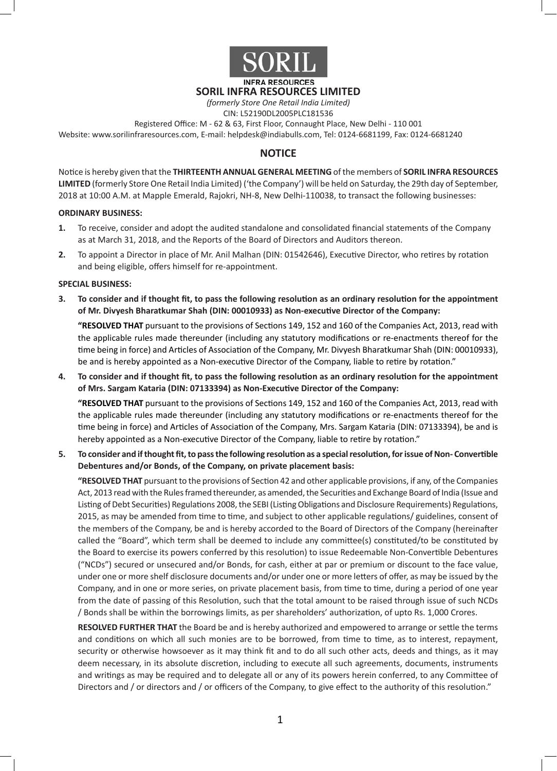

# **SORIL INFRA RESOURCES LIMITED**

*(formerly Store One Retail India Limited)* CIN: L52190DL2005PLC181536

Registered Office: M - 62 & 63, First Floor, Connaught Place, New Delhi - 110 001

Website: www.sorilinfraresources.com, E-mail: helpdesk@indiabulls.com, Tel: 0124-6681199, Fax: 0124-6681240

# **NOTICE**

Notice is hereby given that the **THIRTEENTH ANNUAL GENERAL MEETING** of the members of **SORIL INFRA RESOURCES LIMITED** (formerly Store One Retail India Limited) ('the Company') will be held on Saturday, the 29th day of September, 2018 at 10:00 A.M. at Mapple Emerald, Rajokri, NH-8, New Delhi-110038, to transact the following businesses:

## **ORDINARY BUSINESS:**

- **1.** To receive, consider and adopt the audited standalone and consolidated financial statements of the Company as at March 31, 2018, and the Reports of the Board of Directors and Auditors thereon.
- **2.** To appoint a Director in place of Mr. Anil Malhan (DIN: 01542646), Executive Director, who retires by rotation and being eligible, offers himself for re-appointment.

#### **SPECIAL BUSINESS:**

3. To consider and if thought fit, to pass the following resolution as an ordinary resolution for the appointment **of Mr. Divyesh Bharatkumar Shah (DIN: 00010933) as Non-executive Director of the Company:**

**"RESOLVED THAT** pursuant to the provisions of Sections 149, 152 and 160 of the Companies Act, 2013, read with the applicable rules made thereunder (including any statutory modifications or re-enactments thereof for the time being in force) and Articles of Association of the Company, Mr. Divyesh Bharatkumar Shah (DIN: 00010933), be and is hereby appointed as a Non-executive Director of the Company, liable to retire by rotation."

4. To consider and if thought fit, to pass the following resolution as an ordinary resolution for the appointment **of Mrs. Sargam Kataria (DIN: 07133394) as Non-Executive Director of the Company:**

**"RESOLVED THAT** pursuant to the provisions of Sections 149, 152 and 160 of the Companies Act, 2013, read with the applicable rules made thereunder (including any statutory modifications or re-enactments thereof for the time being in force) and Articles of Association of the Company, Mrs. Sargam Kataria (DIN: 07133394), be and is hereby appointed as a Non-executive Director of the Company, liable to retire by rotation."

**5. To consider and ifthought fit,to passthe following resolution as a specialresolution,forissue ofNon- Convertible Debentures and/or Bonds, of the Company, on private placement basis:**

**"RESOLVED THAT** pursuant to the provisions of Section 42 and other applicable provisions, if any, of the Companies Act, 2013 read with the Rules framed thereunder, as amended, the Securities and Exchange Board of India (Issue and Listing of Debt Securities) Regulations 2008, the SEBI (Listing Obligations and Disclosure Requirements) Regulations, 2015, as may be amended from time to time, and subject to other applicable regulations/ guidelines, consent of the members of the Company, be and is hereby accorded to the Board of Directors of the Company (hereinafter called the "Board", which term shall be deemed to include any committee(s) constituted/to be constituted by the Board to exercise its powers conferred by this resolution) to issue Redeemable Non-Convertible Debentures ("NCDs") secured or unsecured and/or Bonds, for cash, either at par or premium or discount to the face value, under one or more shelf disclosure documents and/or under one or more letters of offer, as may be issued by the Company, and in one or more series, on private placement basis, from time to time, during a period of one year from the date of passing of this Resolution, such that the total amount to be raised through issue of such NCDs / Bonds shall be within the borrowings limits, as per shareholders' authorization, of upto Rs. 1,000 Crores.

**RESOLVED FURTHER THAT** the Board be and is hereby authorized and empowered to arrange or settle the terms and conditions on which all such monies are to be borrowed, from time to time, as to interest, repayment, security or otherwise howsoever as it may think fit and to do all such other acts, deeds and things, as it may deem necessary, in its absolute discretion, including to execute all such agreements, documents, instruments and writings as may be required and to delegate all or any of its powers herein conferred, to any Committee of Directors and / or directors and / or officers of the Company, to give effect to the authority of this resolution."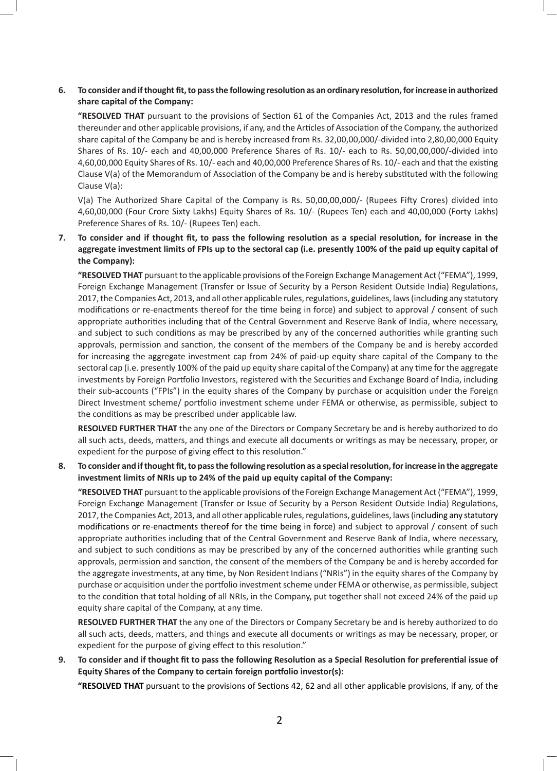**6. To consider and ifthought fit,to passthe following resolution as an ordinary resolution,forincrease in authorized share capital of the Company:**

**"RESOLVED THAT** pursuant to the provisions of Section 61 of the Companies Act, 2013 and the rules framed thereunder and other applicable provisions, if any, and the Articles of Association of the Company, the authorized share capital of the Company be and is hereby increased from Rs. 32,00,00,000/-divided into 2,80,00,000 Equity Shares of Rs. 10/- each and 40,00,000 Preference Shares of Rs. 10/- each to Rs. 50,00,00,000/-divided into 4,60,00,000 Equity Shares of Rs. 10/- each and 40,00,000 Preference Shares of Rs. 10/- each and that the existing Clause V(a) of the Memorandum of Association of the Company be and is hereby substituted with the following Clause V(a):

V(a) The Authorized Share Capital of the Company is Rs. 50,00,00,000/- (Rupees Fifty Crores) divided into 4,60,00,000 (Four Crore Sixty Lakhs) Equity Shares of Rs. 10/- (Rupees Ten) each and 40,00,000 (Forty Lakhs) Preference Shares of Rs. 10/- (Rupees Ten) each.

7. To consider and if thought fit, to pass the following resolution as a special resolution, for increase in the aggregate investment limits of FPIs up to the sectoral cap (i.e. presently 100% of the paid up equity capital of **the Company):**

**"RESOLVED THAT** pursuant to the applicable provisions of the Foreign Exchange Management Act ("FEMA"), 1999, Foreign Exchange Management (Transfer or Issue of Security by a Person Resident Outside India) Regulations, 2017, the Companies Act, 2013, and all other applicable rules, regulations, guidelines, laws (including any statutory modifications or re-enactments thereof for the time being in force) and subject to approval / consent of such appropriate authorities including that of the Central Government and Reserve Bank of India, where necessary, and subject to such conditions as may be prescribed by any of the concerned authorities while granting such approvals, permission and sanction, the consent of the members of the Company be and is hereby accorded for increasing the aggregate investment cap from 24% of paid-up equity share capital of the Company to the sectoral cap (i.e. presently 100% of the paid up equity share capital of the Company) at any time for the aggregate investments by Foreign Portfolio Investors, registered with the Securities and Exchange Board of India, including their sub-accounts ("FPIs") in the equity shares of the Company by purchase or acquisition under the Foreign Direct Investment scheme/ portfolio investment scheme under FEMA or otherwise, as permissible, subject to the conditions as may be prescribed under applicable law.

**RESOLVED FURTHER THAT** the any one of the Directors or Company Secretary be and is hereby authorized to do all such acts, deeds, matters, and things and execute all documents or writings as may be necessary, proper, or expedient for the purpose of giving effect to this resolution."

**8. To consider and ifthought fit,to passthe following resolution as a specialresolution,forincrease in the aggregate investment limits of NRIs up to 24% of the paid up equity capital of the Company:**

**"RESOLVED THAT** pursuant to the applicable provisions of the Foreign Exchange Management Act ("FEMA"), 1999, Foreign Exchange Management (Transfer or Issue of Security by a Person Resident Outside India) Regulations, 2017, the Companies Act, 2013, and all other applicable rules, regulations, guidelines, laws (including any statutory modifications or re-enactments thereof for the time being in force) and subject to approval / consent of such appropriate authorities including that of the Central Government and Reserve Bank of India, where necessary, and subject to such conditions as may be prescribed by any of the concerned authorities while granting such approvals, permission and sanction, the consent of the members of the Company be and is hereby accorded for the aggregate investments, at any time, by Non Resident Indians ("NRIs") in the equity shares of the Company by purchase or acquisition under the portfolio investment scheme under FEMA or otherwise, as permissible, subject to the condition that total holding of all NRIs, in the Company, put together shall not exceed 24% of the paid up equity share capital of the Company, at any time.

**RESOLVED FURTHER THAT** the any one of the Directors or Company Secretary be and is hereby authorized to do all such acts, deeds, matters, and things and execute all documents or writings as may be necessary, proper, or expedient for the purpose of giving effect to this resolution."

9. To consider and if thought fit to pass the following Resolution as a Special Resolution for preferential issue of **Equity Shares of the Company to certain foreign portfolio investor(s):**

**"RESOLVED THAT** pursuant to the provisions of Sections 42, 62 and all other applicable provisions, if any, of the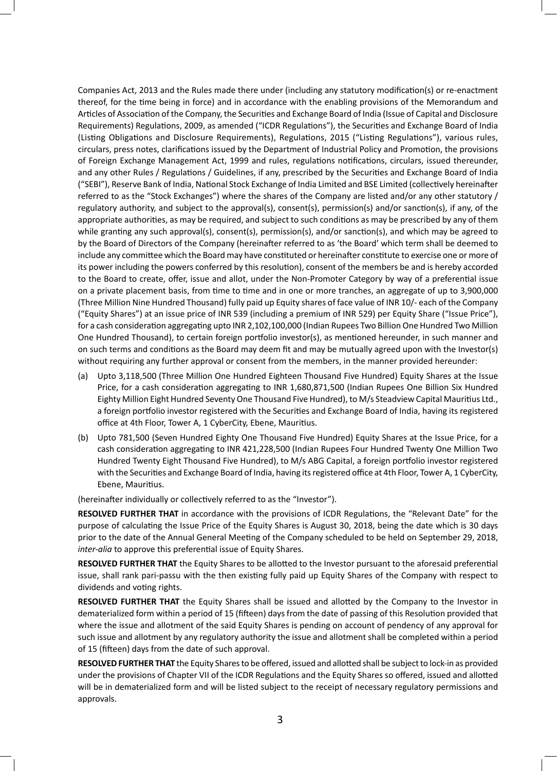Companies Act, 2013 and the Rules made there under (including any statutory modification(s) or re-enactment thereof, for the time being in force) and in accordance with the enabling provisions of the Memorandum and Articles of Association of the Company, the Securities and Exchange Board of India (Issue of Capital and Disclosure Requirements) Regulations, 2009, as amended ("ICDR Regulations"), the Securities and Exchange Board of India (Listing Obligations and Disclosure Requirements), Regulations, 2015 ("Listing Regulations"), various rules, circulars, press notes, clarifications issued by the Department of Industrial Policy and Promotion, the provisions of Foreign Exchange Management Act, 1999 and rules, regulations notifications, circulars, issued thereunder, and any other Rules / Regulations / Guidelines, if any, prescribed by the Securities and Exchange Board of India ("SEBI"), Reserve Bank of India, National Stock Exchange of India Limited and BSE Limited (collectively hereinafter referred to as the "Stock Exchanges") where the shares of the Company are listed and/or any other statutory / regulatory authority, and subject to the approval(s), consent(s), permission(s) and/or sanction(s), if any, of the appropriate authorities, as may be required, and subject to such conditions as may be prescribed by any of them while granting any such approval(s), consent(s), permission(s), and/or sanction(s), and which may be agreed to by the Board of Directors of the Company (hereinafter referred to as 'the Board' which term shall be deemed to include any committee which the Board may have constituted or hereinafter constitute to exercise one or more of its power including the powers conferred by this resolution), consent of the members be and is hereby accorded to the Board to create, offer, issue and allot, under the Non-Promoter Category by way of a preferential issue on a private placement basis, from time to time and in one or more tranches, an aggregate of up to 3,900,000 (Three Million Nine Hundred Thousand) fully paid up Equity shares of face value of INR 10/- each of the Company ("Equity Shares") at an issue price of INR 539 (including a premium of INR 529) per Equity Share ("Issue Price"), for a cash consideration aggregating upto INR 2,102,100,000 (Indian Rupees Two Billion One Hundred Two Million One Hundred Thousand), to certain foreign portfolio investor(s), as mentioned hereunder, in such manner and on such terms and conditions as the Board may deem fit and may be mutually agreed upon with the Investor(s) without requiring any further approval or consent from the members, in the manner provided hereunder:

- (a) Upto 3,118,500 (Three Million One Hundred Eighteen Thousand Five Hundred) Equity Shares at the Issue Price, for a cash consideration aggregating to INR 1,680,871,500 (Indian Rupees One Billion Six Hundred Eighty Million Eight Hundred Seventy One Thousand Five Hundred), to M/s Steadview Capital Mauritius Ltd., a foreign portfolio investor registered with the Securities and Exchange Board of India, having its registered office at 4th Floor, Tower A, 1 CyberCity, Ebene, Mauritius.
- (b) Upto 781,500 (Seven Hundred Eighty One Thousand Five Hundred) Equity Shares at the Issue Price, for a cash consideration aggregating to INR 421,228,500 (Indian Rupees Four Hundred Twenty One Million Two Hundred Twenty Eight Thousand Five Hundred), to M/s ABG Capital, a foreign portfolio investor registered with the Securities and Exchange Board of India, having its registered office at 4th Floor, Tower A, 1 CyberCity, Ebene, Mauritius.

(hereinafter individually or collectively referred to as the "Investor").

**RESOLVED FURTHER THAT** in accordance with the provisions of ICDR Regulations, the "Relevant Date" for the purpose of calculating the Issue Price of the Equity Shares is August 30, 2018, being the date which is 30 days prior to the date of the Annual General Meeting of the Company scheduled to be held on September 29, 2018, *inter-alia* to approve this preferential issue of Equity Shares.

**RESOLVED FURTHER THAT** the Equity Shares to be allotted to the Investor pursuant to the aforesaid preferential issue, shall rank pari-passu with the then existing fully paid up Equity Shares of the Company with respect to dividends and voting rights.

**RESOLVED FURTHER THAT** the Equity Shares shall be issued and allotted by the Company to the Investor in dematerialized form within a period of 15 (fifteen) days from the date of passing of this Resolution provided that where the issue and allotment of the said Equity Shares is pending on account of pendency of any approval for such issue and allotment by any regulatory authority the issue and allotment shall be completed within a period of 15 (fifteen) days from the date of such approval.

**RESOLVED FURTHER THAT** the Equity Shares to be offered, issued and allotted shall be subject to lock-in as provided under the provisions of Chapter VII of the ICDR Regulations and the Equity Shares so offered, issued and allotted will be in dematerialized form and will be listed subject to the receipt of necessary regulatory permissions and approvals.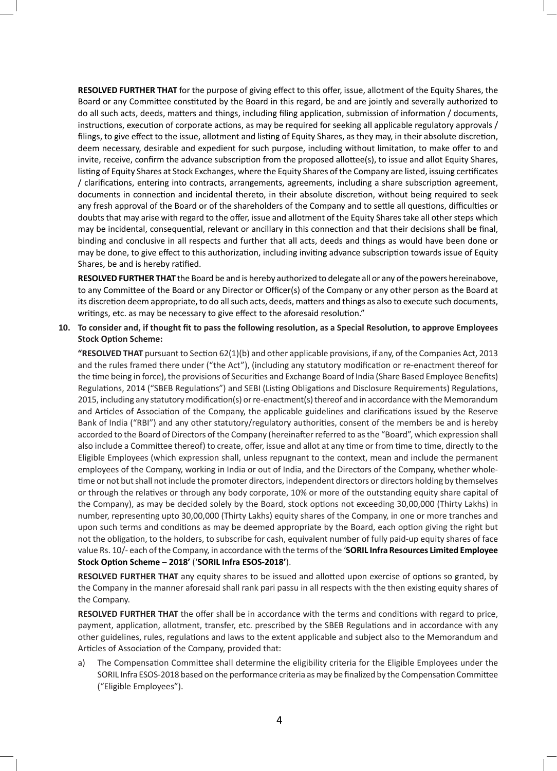**RESOLVED FURTHER THAT** for the purpose of giving effect to this offer, issue, allotment of the Equity Shares, the Board or any Committee constituted by the Board in this regard, be and are jointly and severally authorized to do all such acts, deeds, matters and things, including filing application, submission of information / documents, instructions, execution of corporate actions, as may be required for seeking all applicable regulatory approvals / filings, to give effect to the issue, allotment and listing of Equity Shares, as they may, in their absolute discretion, deem necessary, desirable and expedient for such purpose, including without limitation, to make offer to and invite, receive, confirm the advance subscription from the proposed allottee(s), to issue and allot Equity Shares, listing of Equity Shares at Stock Exchanges, where the Equity Shares of the Company are listed, issuing certificates / clarifications, entering into contracts, arrangements, agreements, including a share subscription agreement, documents in connection and incidental thereto, in their absolute discretion, without being required to seek any fresh approval of the Board or of the shareholders of the Company and to settle all questions, difficulties or doubts that may arise with regard to the offer, issue and allotment of the Equity Shares take all other steps which may be incidental, consequential, relevant or ancillary in this connection and that their decisions shall be final, binding and conclusive in all respects and further that all acts, deeds and things as would have been done or may be done, to give effect to this authorization, including inviting advance subscription towards issue of Equity Shares, be and is hereby ratified.

**RESOLVED FURTHER THAT** the Board be and is hereby authorized to delegate all or any of the powers hereinabove, to any Committee of the Board or any Director or Officer(s) of the Company or any other person as the Board at its discretion deem appropriate, to do all such acts, deeds, matters and things as also to execute such documents, writings, etc. as may be necessary to give effect to the aforesaid resolution."

# 10. To consider and, if thought fit to pass the following resolution, as a Special Resolution, to approve Employees **Stock Option Scheme:**

**"RESOLVED THAT** pursuant to Section 62(1)(b) and other applicable provisions, if any, of the Companies Act, 2013 and the rules framed there under ("the Act"), (including any statutory modification or re-enactment thereof for the time being in force), the provisions of Securities and Exchange Board of India (Share Based Employee Benefits) Regulations, 2014 ("SBEB Regulations") and SEBI (Listing Obligations and Disclosure Requirements) Regulations, 2015, including any statutory modification(s) or re-enactment(s) thereof and in accordance with the Memorandum and Articles of Association of the Company, the applicable guidelines and clarifications issued by the Reserve Bank of India ("RBI") and any other statutory/regulatory authorities, consent of the members be and is hereby accorded to the Board of Directors of the Company (hereinafter referred to as the "Board", which expression shall also include a Committee thereof) to create, offer, issue and allot at any time or from time to time, directly to the Eligible Employees (which expression shall, unless repugnant to the context, mean and include the permanent employees of the Company, working in India or out of India, and the Directors of the Company, whether wholetime or not but shall not include the promoter directors, independent directors or directors holding by themselves or through the relatives or through any body corporate, 10% or more of the outstanding equity share capital of the Company), as may be decided solely by the Board, stock options not exceeding 30,00,000 (Thirty Lakhs) in number, representing upto 30,00,000 (Thirty Lakhs) equity shares of the Company, in one or more tranches and upon such terms and conditions as may be deemed appropriate by the Board, each option giving the right but not the obligation, to the holders, to subscribe for cash, equivalent number of fully paid-up equity shares of face value Rs. 10/- each of the Company, in accordance with the terms of the '**SORIL Infra Resources Limited Employee Stock Option Scheme – 2018'** ('**SORIL Infra ESOS-2018'**).

**RESOLVED FURTHER THAT** any equity shares to be issued and allotted upon exercise of options so granted, by the Company in the manner aforesaid shall rank pari passu in all respects with the then existing equity shares of the Company.

**RESOLVED FURTHER THAT** the offer shall be in accordance with the terms and conditions with regard to price, payment, application, allotment, transfer, etc. prescribed by the SBEB Regulations and in accordance with any other guidelines, rules, regulations and laws to the extent applicable and subject also to the Memorandum and Articles of Association of the Company, provided that:

a) The Compensation Committee shall determine the eligibility criteria for the Eligible Employees under the SORIL Infra ESOS-2018 based on the performance criteria as may be finalized by the Compensation Committee ("Eligible Employees").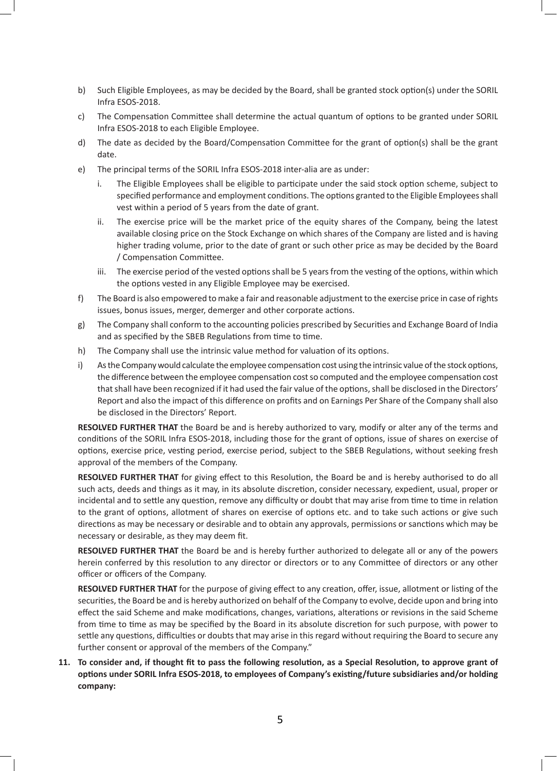- b) Such Eligible Employees, as may be decided by the Board, shall be granted stock option(s) under the SORIL Infra ESOS-2018.
- c) The Compensation Committee shall determine the actual quantum of options to be granted under SORIL Infra ESOS-2018 to each Eligible Employee.
- d) The date as decided by the Board/Compensation Committee for the grant of option(s) shall be the grant date.
- e) The principal terms of the SORIL Infra ESOS-2018 inter-alia are as under:
	- The Eligible Employees shall be eligible to participate under the said stock option scheme, subject to specified performance and employment conditions. The options granted to the Eligible Employees shall vest within a period of 5 years from the date of grant.
	- ii. The exercise price will be the market price of the equity shares of the Company, being the latest available closing price on the Stock Exchange on which shares of the Company are listed and is having higher trading volume, prior to the date of grant or such other price as may be decided by the Board / Compensation Committee.
	- iii. The exercise period of the vested options shall be 5 years from the vesting of the options, within which the options vested in any Eligible Employee may be exercised.
- f) The Board is also empowered to make a fair and reasonable adjustment to the exercise price in case of rights issues, bonus issues, merger, demerger and other corporate actions.
- g) The Company shall conform to the accounting policies prescribed by Securities and Exchange Board of India and as specified by the SBEB Regulations from time to time.
- h) The Company shall use the intrinsic value method for valuation of its options.
- i) As the Company would calculate the employee compensation cost using the intrinsic value of the stock options, the difference between the employee compensation cost so computed and the employee compensation cost that shall have been recognized if it had used the fair value of the options, shall be disclosed in the Directors' Report and also the impact of this difference on profits and on Earnings Per Share of the Company shall also be disclosed in the Directors' Report.

**RESOLVED FURTHER THAT** the Board be and is hereby authorized to vary, modify or alter any of the terms and conditions of the SORIL Infra ESOS-2018, including those for the grant of options, issue of shares on exercise of options, exercise price, vesting period, exercise period, subject to the SBEB Regulations, without seeking fresh approval of the members of the Company.

**RESOLVED FURTHER THAT** for giving effect to this Resolution, the Board be and is hereby authorised to do all such acts, deeds and things as it may, in its absolute discretion, consider necessary, expedient, usual, proper or incidental and to settle any question, remove any difficulty or doubt that may arise from time to time in relation to the grant of options, allotment of shares on exercise of options etc. and to take such actions or give such directions as may be necessary or desirable and to obtain any approvals, permissions or sanctions which may be necessary or desirable, as they may deem fit.

**RESOLVED FURTHER THAT** the Board be and is hereby further authorized to delegate all or any of the powers herein conferred by this resolution to any director or directors or to any Committee of directors or any other officer or officers of the Company.

**RESOLVED FURTHER THAT** for the purpose of giving effect to any creation, offer, issue, allotment or listing of the securities, the Board be and is hereby authorized on behalf of the Company to evolve, decide upon and bring into effect the said Scheme and make modifications, changes, variations, alterations or revisions in the said Scheme from time to time as may be specified by the Board in its absolute discretion for such purpose, with power to settle any questions, difficulties or doubts that may arise in this regard without requiring the Board to secure any further consent or approval of the members of the Company."

11. To consider and, if thought fit to pass the following resolution, as a Special Resolution, to approve grant of **options under SORIL Infra ESOS-2018, to employees of Company's existing/future subsidiaries and/or holding company:**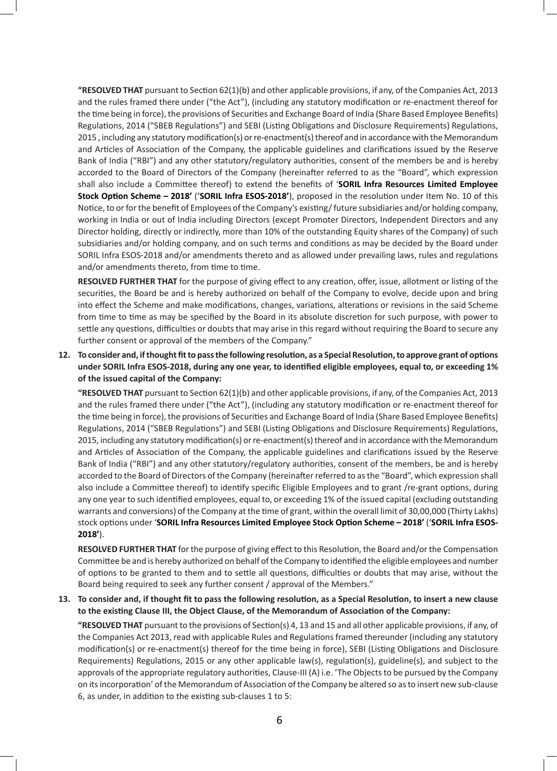**"RESOLVED THAT** pursuant to Section 62(1)(b) and other applicable provisions, if any, of the Companies Act, 2013 and the rules framed there under ("the Act"), (including any statutory modification or re-enactment thereof for the time being in force), the provisions of Securities and Exchange Board of India (Share Based Employee Benefits) Regulations, 2014 ("SBEB Regulations") and SEBI (Listing Obligations and Disclosure Requirements) Regulations, 2015 , including any statutory modification(s) or re-enactment(s) thereof and in accordance with the Memorandum and Articles of Association of the Company, the applicable guidelines and clarifications issued by the Reserve Bank of India ("RBI") and any other statutory/regulatory authorities, consent of the members be and is hereby accorded to the Board of Directors of the Company (hereinafter referred to as the "Board", which expression shall also include a Committee thereof) to extend the benefits of '**SORIL Infra Resources Limited Employee Stock Option Scheme – 2018'** ('**SORIL Infra ESOS-2018'**), proposed in the resolution under Item No. 10 of this Notice, to or for the benefit of Employees of the Company's existing/ future subsidiaries and/or holding company, working in India or out of India including Directors (except Promoter Directors, Independent Directors and any Director holding, directly or indirectly, more than 10% of the outstanding Equity shares of the Company) of such subsidiaries and/or holding company, and on such terms and conditions as may be decided by the Board under SORIL Infra ESOS-2018 and/or amendments thereto and as allowed under prevailing laws, rules and regulations and/or amendments thereto, from time to time.

**RESOLVED FURTHER THAT** for the purpose of giving effect to any creation, offer, issue, allotment or listing of the securities, the Board be and is hereby authorized on behalf of the Company to evolve, decide upon and bring into effect the Scheme and make modifications, changes, variations, alterations or revisions in the said Scheme from time to time as may be specified by the Board in its absolute discretion for such purpose, with power to settle any questions, difficulties or doubts that may arise in this regard without requiring the Board to secure any further consent or approval of the members of the Company."

12. To consider and, if thought fit to pass the following resolution, as a Special Resolution, to approve grant of options under SORIL Infra ESOS-2018, during any one year, to identified eligible employees, equal to, or exceeding 1% **of the issued capital of the Company:**

**"RESOLVED THAT** pursuant to Section 62(1)(b) and other applicable provisions, if any, of the Companies Act, 2013 and the rules framed there under ("the Act"), (including any statutory modification or re-enactment thereof for the time being in force), the provisions of Securities and Exchange Board of India (Share Based Employee Benefits) Regulations, 2014 ("SBEB Regulations") and SEBI (Listing Obligations and Disclosure Requirements) Regulations, 2015, including any statutory modification(s) or re-enactment(s) thereof and in accordance with the Memorandum and Articles of Association of the Company, the applicable guidelines and clarifications issued by the Reserve Bank of India ("RBI") and any other statutory/regulatory authorities, consent of the members, be and is hereby accorded to the Board of Directors of the Company (hereinafter referred to as the "Board", which expression shall also include a Committee thereof) to identify specific Eligible Employees and to grant /re-grant options, during any one year to such identified employees, equal to, or exceeding 1% of the issued capital (excluding outstanding warrants and conversions) of the Company at the time of grant, within the overall limit of 30,00,000 (Thirty Lakhs) stock options under '**SORIL Infra Resources Limited Employee Stock Option Scheme – 2018'** ('**SORIL Infra ESOS-2018'**).

**RESOLVED FURTHER THAT** for the purpose of giving effect to this Resolution, the Board and/or the Compensation Committee be and is hereby authorized on behalf of the Company to identified the eligible employees and number of options to be granted to them and to settle all questions, difficulties or doubts that may arise, without the Board being required to seek any further consent / approval of the Members."

## 13. To consider and, if thought fit to pass the following resolution, as a Special Resolution, to insert a new clause **to the existing Clause III, the Object Clause, of the Memorandum of Association of the Company:**

**"RESOLVED THAT** pursuant to the provisions of Section(s) 4, 13 and 15 and all other applicable provisions, if any, of the Companies Act 2013, read with applicable Rules and Regulations framed thereunder (including any statutory modification(s) or re-enactment(s) thereof for the time being in force), SEBI (Listing Obligations and Disclosure Requirements) Regulations, 2015 or any other applicable law(s), regulation(s), guideline(s), and subject to the approvals of the appropriate regulatory authorities, Clause-III (A) i.e. 'The Objects to be pursued by the Company on its incorporation' of the Memorandum of Association of the Company be altered so as to insert new sub-clause 6, as under, in addition to the existing sub-clauses 1 to 5: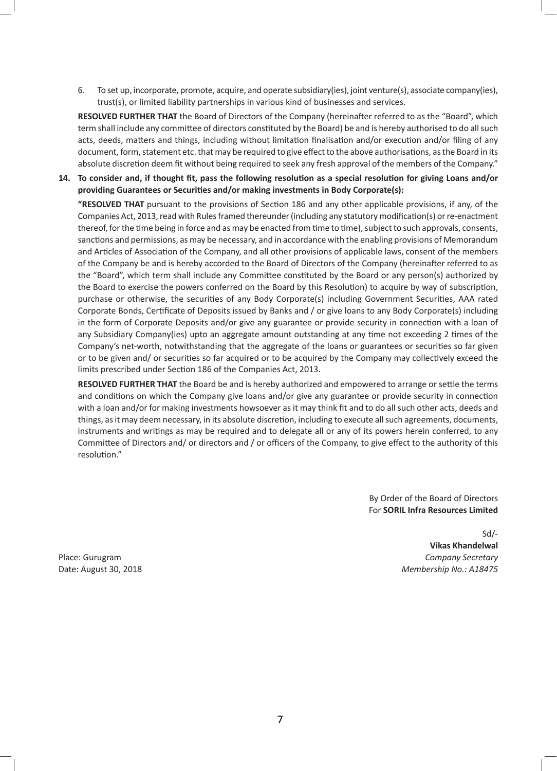6. To set up, incorporate, promote, acquire, and operate subsidiary(ies), joint venture(s), associate company(ies), trust(s), or limited liability partnerships in various kind of businesses and services.

**RESOLVED FURTHER THAT** the Board of Directors of the Company (hereinafter referred to as the "Board", which term shall include any committee of directors constituted by the Board) be and is hereby authorised to do all such acts, deeds, matters and things, including without limitation finalisation and/or execution and/or filing of any document, form, statement etc. that may be required to give effect to the above authorisations, as the Board in its absolute discretion deem fit without being required to seek any fresh approval of the members of the Company."

# 14. To consider and, if thought fit, pass the following resolution as a special resolution for giving Loans and/or **providing Guarantees or Securities and/or making investments in Body Corporate(s):**

**"RESOLVED THAT** pursuant to the provisions of Section 186 and any other applicable provisions, if any, of the Companies Act, 2013, read with Rules framed thereunder (including any statutory modification(s) or re-enactment thereof, for the time being in force and as may be enacted from time to time), subject to such approvals, consents, sanctions and permissions, as may be necessary, and in accordance with the enabling provisions of Memorandum and Articles of Association of the Company, and all other provisions of applicable laws, consent of the members of the Company be and is hereby accorded to the Board of Directors of the Company (hereinafter referred to as the "Board", which term shall include any Committee constituted by the Board or any person(s) authorized by the Board to exercise the powers conferred on the Board by this Resolution) to acquire by way of subscription, purchase or otherwise, the securities of any Body Corporate(s) including Government Securities, AAA rated Corporate Bonds, Certificate of Deposits issued by Banks and / or give loans to any Body Corporate(s) including in the form of Corporate Deposits and/or give any guarantee or provide security in connection with a loan of any Subsidiary Company(ies) upto an aggregate amount outstanding at any time not exceeding 2 times of the Company's net-worth, notwithstanding that the aggregate of the loans or guarantees or securities so far given or to be given and/ or securities so far acquired or to be acquired by the Company may collectively exceed the limits prescribed under Section 186 of the Companies Act, 2013.

**RESOLVED FURTHER THAT** the Board be and is hereby authorized and empowered to arrange or settle the terms and conditions on which the Company give loans and/or give any guarantee or provide security in connection with a loan and/or for making investments howsoever as it may think fit and to do all such other acts, deeds and things, as it may deem necessary, in its absolute discretion, including to execute all such agreements, documents, instruments and writings as may be required and to delegate all or any of its powers herein conferred, to any Committee of Directors and/ or directors and / or officers of the Company, to give effect to the authority of this resolution."

> By Order of the Board of Directors For **SORIL Infra Resources Limited**

Sd/- **Vikas Khandelwal** Place: Gurugram *Company Secretary* Date: August 30, 2018 *Membership No.: A18475*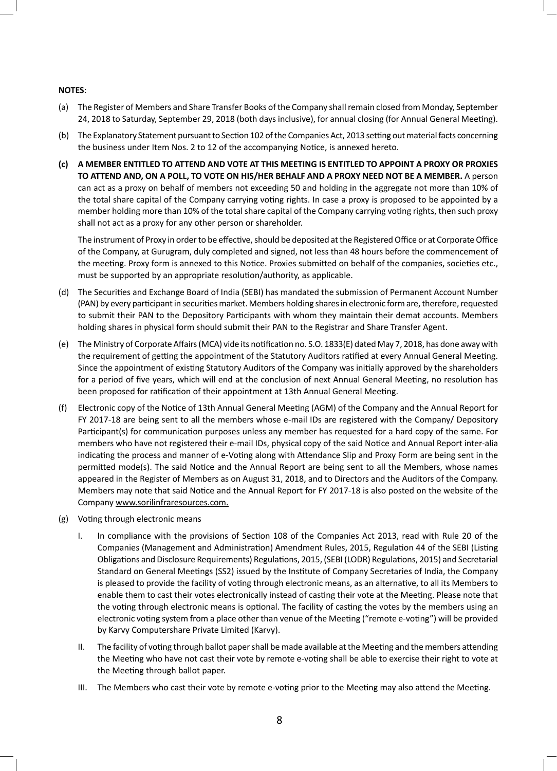#### **NOTES**:

- (a) The Register of Members and Share Transfer Books of the Company shall remain closed from Monday, September 24, 2018 to Saturday, September 29, 2018 (both days inclusive), for annual closing (for Annual General Meeting).
- (b) The Explanatory Statement pursuant to Section 102 of the Companies Act, 2013 setting out material facts concerning the business under Item Nos. 2 to 12 of the accompanying Notice, is annexed hereto.
- (c) A MEMBER ENTITLED TO ATTEND AND VOTE AT THIS MEETING IS ENTITLED TO APPOINT A PROXY OR PROXIES TO ATTEND AND, ON A POLL, TO VOTE ON HIS/HER BEHALF AND A PROXY NEED NOT BE A MEMBER. A person can act as a proxy on behalf of members not exceeding 50 and holding in the aggregate not more than 10% of the total share capital of the Company carrying voting rights. In case a proxy is proposed to be appointed by a member holding more than 10% of the total share capital of the Company carrying voting rights, then such proxy shall not act as a proxy for any other person or shareholder.

The instrument of Proxy in order to be effective, should be deposited at the Registered Office or at Corporate Office of the Company, at Gurugram, duly completed and signed, not less than 48 hours before the commencement of the meeting. Proxy form is annexed to this Notice. Proxies submitted on behalf of the companies, societies etc., must be supported by an appropriate resolution/authority, as applicable.

- (d) The Securities and Exchange Board of India (SEBI) has mandated the submission of Permanent Account Number (PAN) by every participant in securities market. Members holding shares in electronic form are, therefore, requested to submit their PAN to the Depository Participants with whom they maintain their demat accounts. Members holding shares in physical form should submit their PAN to the Registrar and Share Transfer Agent.
- (e) The Ministry of Corporate Affairs (MCA) vide its notification no. S.O. 1833(E) dated May 7, 2018, has done away with the requirement of getting the appointment of the Statutory Auditors ratified at every Annual General Meeting. Since the appointment of existing Statutory Auditors of the Company was initially approved by the shareholders for a period of five years, which will end at the conclusion of next Annual General Meeting, no resolution has been proposed for ratification of their appointment at 13th Annual General Meeting.
- (f) Electronic copy of the Notice of 13th Annual General Meeting (AGM) of the Company and the Annual Report for FY 2017-18 are being sent to all the members whose e-mail IDs are registered with the Company/ Depository Participant(s) for communication purposes unless any member has requested for a hard copy of the same. For members who have not registered their e-mail IDs, physical copy of the said Notice and Annual Report inter-alia indicating the process and manner of e-Voting along with Attendance Slip and Proxy Form are being sent in the permitted mode(s). The said Notice and the Annual Report are being sent to all the Members, whose names appeared in the Register of Members as on August 31, 2018, and to Directors and the Auditors of the Company. Members may note that said Notice and the Annual Report for FY 2017-18 is also posted on the website of the Company www.sorilinfraresources.com.
- (g) Voting through electronic means
	- I. In compliance with the provisions of Section 108 of the Companies Act 2013, read with Rule 20 of the Companies (Management and Administration) Amendment Rules, 2015, Regulation 44 of the SEBI (Listing Obligations and Disclosure Requirements) Regulations, 2015, (SEBI (LODR) Regulations, 2015) and Secretarial Standard on General Meetings (SS2) issued by the Institute of Company Secretaries of India, the Company is pleased to provide the facility of voting through electronic means, as an alternative, to all its Members to enable them to cast their votes electronically instead of casting their vote at the Meeting. Please note that the voting through electronic means is optional. The facility of casting the votes by the members using an electronic voting system from a place other than venue of the Meeting ("remote e-voting") will be provided by Karvy Computershare Private Limited (Karvy).
	- II. The facility of voting through ballot paper shall be made available at the Meeting and the members attending the Meeting who have not cast their vote by remote e-voting shall be able to exercise their right to vote at the Meeting through ballot paper.
	- III. The Members who cast their vote by remote e-voting prior to the Meeting may also attend the Meeting.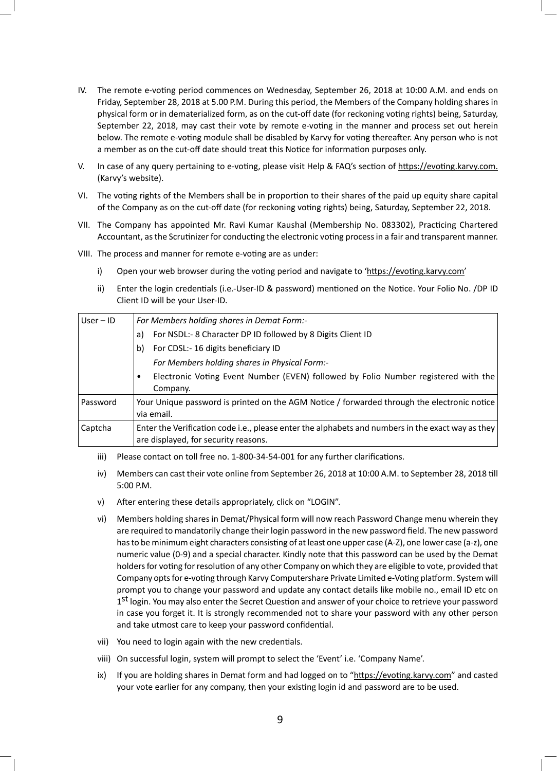- IV. The remote e-voting period commences on Wednesday, September 26, 2018 at 10:00 A.M. and ends on Friday, September 28, 2018 at 5.00 P.M. During this period, the Members of the Company holding shares in physical form or in dematerialized form, as on the cut-off date (for reckoning voting rights) being, Saturday, September 22, 2018, may cast their vote by remote e-voting in the manner and process set out herein below. The remote e-voting module shall be disabled by Karvy for voting thereafter. Any person who is not a member as on the cut-off date should treat this Notice for information purposes only.
- V. In case of any query pertaining to e-voting, please visit Help & FAQ's section of https://evoting.karvy.com. (Karvy's website).
- VI. The voting rights of the Members shall be in proportion to their shares of the paid up equity share capital of the Company as on the cut-off date (for reckoning voting rights) being, Saturday, September 22, 2018.
- VII. The Company has appointed Mr. Ravi Kumar Kaushal (Membership No. 083302), Practicing Chartered Accountant, as the Scrutinizer for conducting the electronic voting process in a fair and transparent manner.
- VIII. The process and manner for remote e-voting are as under:
	- i) Open your web browser during the voting period and navigate to 'https://evoting.karvy.com'
	- ii) Enter the login credentials (i.e.-User-ID & password) mentioned on the Notice. Your Folio No. /DP ID Client ID will be your User-ID.

| User – ID | For Members holding shares in Demat Form:-                                                                                                |  |  |
|-----------|-------------------------------------------------------------------------------------------------------------------------------------------|--|--|
|           | For NSDL:- 8 Character DP ID followed by 8 Digits Client ID<br>a)                                                                         |  |  |
|           | For CDSL:- 16 digits beneficiary ID<br>b)                                                                                                 |  |  |
|           | For Members holding shares in Physical Form:-                                                                                             |  |  |
|           | Electronic Voting Event Number (EVEN) followed by Folio Number registered with the                                                        |  |  |
|           | Company.                                                                                                                                  |  |  |
| Password  | Your Unique password is printed on the AGM Notice / forwarded through the electronic notice<br>via email.                                 |  |  |
| Captcha   | Enter the Verification code i.e., please enter the alphabets and numbers in the exact way as they<br>are displayed, for security reasons. |  |  |

- iii) Please contact on toll free no. 1-800-34-54-001 for any further clarifications.
- iv) Members can cast their vote online from September 26, 2018 at 10:00 A.M. to September 28, 2018 till 5:00 P.M.
- v) After entering these details appropriately, click on "LOGIN".
- vi) Members holding shares in Demat/Physical form will now reach Password Change menu wherein they are required to mandatorily change their login password in the new password field. The new password has to be minimum eight characters consisting of at least one upper case (A-Z), one lower case (a-z), one numeric value (0-9) and a special character. Kindly note that this password can be used by the Demat holders for voting for resolution of any other Company on which they are eligible to vote, provided that Company opts for e-voting through Karvy Computershare Private Limited e-Voting platform. System will prompt you to change your password and update any contact details like mobile no., email ID etc on 1<sup>st</sup> login. You may also enter the Secret Question and answer of your choice to retrieve your password in case you forget it. It is strongly recommended not to share your password with any other person and take utmost care to keep your password confidential.
- vii) You need to login again with the new credentials.
- viii) On successful login, system will prompt to select the 'Event' i.e. 'Company Name'.
- ix) If you are holding shares in Demat form and had logged on to "https://evoting.karvy.com" and casted your vote earlier for any company, then your existing login id and password are to be used.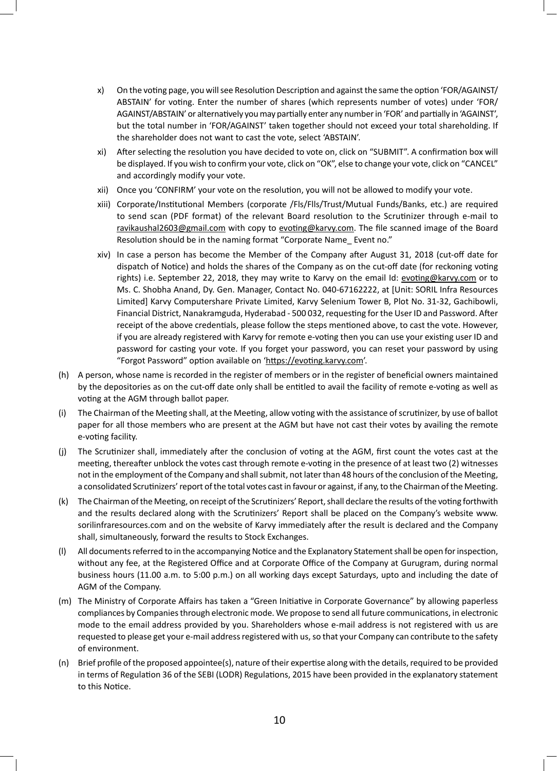- x) On the voting page, you will see Resolution Description and against the same the option 'FOR/AGAINST/ ABSTAIN' for voting. Enter the number of shares (which represents number of votes) under 'FOR/ AGAINST/ABSTAIN' or alternatively you may partially enter any number in 'FOR' and partially in 'AGAINST', but the total number in 'FOR/AGAINST' taken together should not exceed your total shareholding. If the shareholder does not want to cast the vote, select 'ABSTAIN'.
- xi) After selecting the resolution you have decided to vote on, click on "SUBMIT". A confirmation box will be displayed. If you wish to confirm your vote, click on "OK", else to change your vote, click on "CANCEL" and accordingly modify your vote.
- xii) Once you 'CONFIRM' your vote on the resolution, you will not be allowed to modify your vote.
- xiii) Corporate/Institutional Members (corporate /Fls/Flls/Trust/Mutual Funds/Banks, etc.) are required to send scan (PDF format) of the relevant Board resolution to the Scrutinizer through e-mail to ravikaushal2603@gmail.com with copy to evoting@karvy.com. The file scanned image of the Board Resolution should be in the naming format "Corporate Name Event no."
- xiv) In case a person has become the Member of the Company after August 31, 2018 (cut-off date for dispatch of Notice) and holds the shares of the Company as on the cut-off date (for reckoning voting rights) i.e. September 22, 2018, they may write to Karvy on the email Id: evoting@karvy.com or to Ms. C. Shobha Anand, Dy. Gen. Manager, Contact No. 040-67162222, at [Unit: SORIL Infra Resources Limited] Karvy Computershare Private Limited, Karvy Selenium Tower B, Plot No. 31-32, Gachibowli, Financial District, Nanakramguda, Hyderabad - 500 032, requesting for the User ID and Password. After receipt of the above credentials, please follow the steps mentioned above, to cast the vote. However, if you are already registered with Karvy for remote e-voting then you can use your existing user ID and password for casting your vote. If you forget your password, you can reset your password by using "Forgot Password" option available on 'https://evoting.karvy.com'.
- (h) A person, whose name is recorded in the register of members or in the register of beneficial owners maintained by the depositories as on the cut-off date only shall be entitled to avail the facility of remote e-voting as well as voting at the AGM through ballot paper.
- (i) The Chairman of the Meeting shall, at the Meeting, allow voting with the assistance of scrutinizer, by use of ballot paper for all those members who are present at the AGM but have not cast their votes by availing the remote e-voting facility.
- (j) The Scrutinizer shall, immediately after the conclusion of voting at the AGM, first count the votes cast at the meeting, thereafter unblock the votes cast through remote e-voting in the presence of at least two (2) witnesses not in the employment of the Company and shall submit, not later than 48 hours of the conclusion of the Meeting, a consolidated Scrutinizers' report of the total votes cast in favour or against, if any, to the Chairman of the Meeting.
- (k) The Chairman of the Meeting, on receipt of the Scrutinizers' Report, shall declare the results of the voting forthwith and the results declared along with the Scrutinizers' Report shall be placed on the Company's website www. sorilinfraresources.com and on the website of Karvy immediately after the result is declared and the Company shall, simultaneously, forward the results to Stock Exchanges.
- (l) All documents referred to in the accompanying Notice and the Explanatory Statement shall be open for inspection, without any fee, at the Registered Office and at Corporate Office of the Company at Gurugram, during normal business hours (11.00 a.m. to 5:00 p.m.) on all working days except Saturdays, upto and including the date of AGM of the Company.
- (m) The Ministry of Corporate Affairs has taken a "Green Initiative in Corporate Governance" by allowing paperless compliances by Companies through electronic mode. We propose to send all future communications, in electronic mode to the email address provided by you. Shareholders whose e-mail address is not registered with us are requested to please get your e-mail address registered with us, so that your Company can contribute to the safety of environment.
- (n) Brief profile of the proposed appointee(s), nature of their expertise along with the details, required to be provided in terms of Regulation 36 of the SEBI (LODR) Regulations, 2015 have been provided in the explanatory statement to this Notice.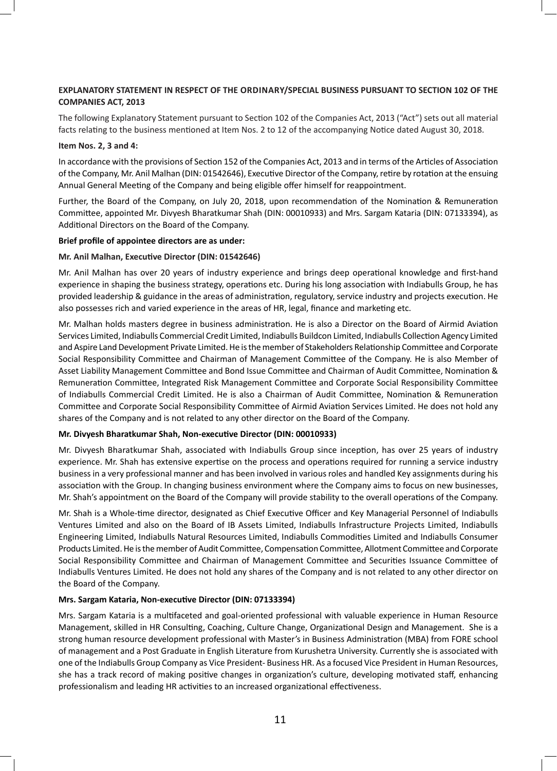# **EXPLANATORY STATEMENT IN RESPECT OF THE ORDINARY/SPECIAL BUSINESS PURSUANT TO SECTION 102 OF THE COMPANIES ACT, 2013**

The following Explanatory Statement pursuant to Section 102 of the Companies Act, 2013 ("Act") sets out all material facts relating to the business mentioned at Item Nos. 2 to 12 of the accompanying Notice dated August 30, 2018.

#### **Item Nos. 2, 3 and 4:**

In accordance with the provisions of Section 152 of the Companies Act, 2013 and in terms of the Articles of Association of the Company, Mr. Anil Malhan (DIN: 01542646), Executive Director of the Company, retire by rotation at the ensuing Annual General Meeting of the Company and being eligible offer himself for reappointment.

Further, the Board of the Company, on July 20, 2018, upon recommendation of the Nomination & Remuneration Committee, appointed Mr. Divyesh Bharatkumar Shah (DIN: 00010933) and Mrs. Sargam Kataria (DIN: 07133394), as Additional Directors on the Board of the Company.

#### **Brief profile of appointee directors are as under:**

## **Mr. Anil Malhan, Executive Director (DIN: 01542646)**

Mr. Anil Malhan has over 20 years of industry experience and brings deep operational knowledge and first-hand experience in shaping the business strategy, operations etc. During his long association with Indiabulls Group, he has provided leadership & guidance in the areas of administration, regulatory, service industry and projects execution. He also possesses rich and varied experience in the areas of HR, legal, finance and marketing etc.

Mr. Malhan holds masters degree in business administration. He is also a Director on the Board of Airmid Aviation Services Limited, Indiabulls Commercial Credit Limited, Indiabulls Buildcon Limited, Indiabulls Collection Agency Limited and Aspire Land Development Private Limited. He is the member of Stakeholders Relationship Committee and Corporate Social Responsibility Committee and Chairman of Management Committee of the Company. He is also Member of Asset Liability Management Committee and Bond Issue Committee and Chairman of Audit Committee, Nomination & Remuneration Committee, Integrated Risk Management Committee and Corporate Social Responsibility Committee of Indiabulls Commercial Credit Limited. He is also a Chairman of Audit Committee, Nomination & Remuneration Committee and Corporate Social Responsibility Committee of Airmid Aviation Services Limited. He does not hold any shares of the Company and is not related to any other director on the Board of the Company.

## **Mr. Divyesh Bharatkumar Shah, Non-executive Director (DIN: 00010933)**

Mr. Divyesh Bharatkumar Shah, associated with Indiabulls Group since inception, has over 25 years of industry experience. Mr. Shah has extensive expertise on the process and operations required for running a service industry business in a very professional manner and has been involved in various roles and handled Key assignments during his association with the Group. In changing business environment where the Company aims to focus on new businesses, Mr. Shah's appointment on the Board of the Company will provide stability to the overall operations of the Company.

Mr. Shah is a Whole-time director, designated as Chief Executive Officer and Key Managerial Personnel of Indiabulls Ventures Limited and also on the Board of IB Assets Limited, Indiabulls Infrastructure Projects Limited, Indiabulls Engineering Limited, Indiabulls Natural Resources Limited, Indiabulls Commodities Limited and Indiabulls Consumer Products Limited. He is the member of Audit Committee, Compensation Committee, Allotment Committee and Corporate Social Responsibility Committee and Chairman of Management Committee and Securities Issuance Committee of Indiabulls Ventures Limited. He does not hold any shares of the Company and is not related to any other director on the Board of the Company.

## **Mrs. Sargam Kataria, Non-executive Director (DIN: 07133394)**

Mrs. Sargam Kataria is a multifaceted and goal-oriented professional with valuable experience in Human Resource Management, skilled in HR Consulting, Coaching, Culture Change, Organizational Design and Management. She is a strong human resource development professional with Master's in Business Administration (MBA) from FORE school of management and a Post Graduate in English Literature from Kurushetra University. Currently she is associated with one of the Indiabulls Group Company as Vice President- Business HR. As a focused Vice President in Human Resources, she has a track record of making positive changes in organization's culture, developing motivated staff, enhancing professionalism and leading HR activities to an increased organizational effectiveness.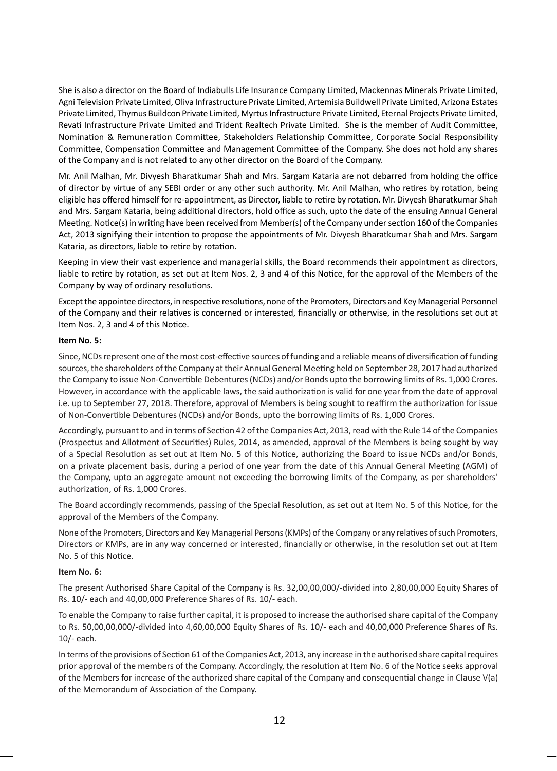She is also a director on the Board of Indiabulls Life Insurance Company Limited, Mackennas Minerals Private Limited, Agni Television Private Limited, Oliva Infrastructure Private Limited, Artemisia Buildwell Private Limited, Arizona Estates Private Limited, Thymus Buildcon Private Limited, Myrtus Infrastructure Private Limited, Eternal Projects Private Limited, Revati Infrastructure Private Limited and Trident Realtech Private Limited. She is the member of Audit Committee, Nomination & Remuneration Committee, Stakeholders Relationship Committee, Corporate Social Responsibility Committee, Compensation Committee and Management Committee of the Company. She does not hold any shares of the Company and is not related to any other director on the Board of the Company.

Mr. Anil Malhan, Mr. Divyesh Bharatkumar Shah and Mrs. Sargam Kataria are not debarred from holding the office of director by virtue of any SEBI order or any other such authority. Mr. Anil Malhan, who retires by rotation, being eligible has offered himself for re-appointment, as Director, liable to retire by rotation. Mr. Divyesh Bharatkumar Shah and Mrs. Sargam Kataria, being additional directors, hold office as such, upto the date of the ensuing Annual General Meeting. Notice(s) in writing have been received from Member(s) of the Company under section 160 of the Companies Act, 2013 signifying their intention to propose the appointments of Mr. Divyesh Bharatkumar Shah and Mrs. Sargam Kataria, as directors, liable to retire by rotation.

Keeping in view their vast experience and managerial skills, the Board recommends their appointment as directors, liable to retire by rotation, as set out at Item Nos. 2, 3 and 4 of this Notice, for the approval of the Members of the Company by way of ordinary resolutions.

Except the appointee directors, in respective resolutions, none of the Promoters, Directors and Key Managerial Personnel of the Company and their relatives is concerned or interested, financially or otherwise, in the resolutions set out at Item Nos. 2, 3 and 4 of this Notice.

## **Item No. 5:**

Since, NCDs represent one of the most cost-effective sources of funding and a reliable means of diversification of funding sources, the shareholders of the Company at their Annual General Meeting held on September 28, 2017 had authorized the Company to issue Non-Convertible Debentures (NCDs) and/or Bonds upto the borrowing limits of Rs. 1,000 Crores. However, in accordance with the applicable laws, the said authorization is valid for one year from the date of approval i.e. up to September 27, 2018. Therefore, approval of Members is being sought to reaffirm the authorization for issue of Non-Convertible Debentures (NCDs) and/or Bonds, upto the borrowing limits of Rs. 1,000 Crores.

Accordingly, pursuant to and in terms of Section 42 of the Companies Act, 2013, read with the Rule 14 of the Companies (Prospectus and Allotment of Securities) Rules, 2014, as amended, approval of the Members is being sought by way of a Special Resolution as set out at Item No. 5 of this Notice, authorizing the Board to issue NCDs and/or Bonds, on a private placement basis, during a period of one year from the date of this Annual General Meeting (AGM) of the Company, upto an aggregate amount not exceeding the borrowing limits of the Company, as per shareholders' authorization, of Rs. 1,000 Crores.

The Board accordingly recommends, passing of the Special Resolution, as set out at Item No. 5 of this Notice, for the approval of the Members of the Company.

None of the Promoters, Directors and Key Managerial Persons (KMPs) of the Company or any relatives of such Promoters, Directors or KMPs, are in any way concerned or interested, financially or otherwise, in the resolution set out at Item No. 5 of this Notice.

## **Item No. 6:**

The present Authorised Share Capital of the Company is Rs. 32,00,00,000/-divided into 2,80,00,000 Equity Shares of Rs. 10/- each and 40,00,000 Preference Shares of Rs. 10/- each.

To enable the Company to raise further capital, it is proposed to increase the authorised share capital of the Company to Rs. 50,00,00,000/-divided into 4,60,00,000 Equity Shares of Rs. 10/- each and 40,00,000 Preference Shares of Rs. 10/- each.

In terms of the provisions of Section 61 of the Companies Act, 2013, any increase in the authorised share capital requires prior approval of the members of the Company. Accordingly, the resolution at Item No. 6 of the Notice seeks approval of the Members for increase of the authorized share capital of the Company and consequential change in Clause V(a) of the Memorandum of Association of the Company.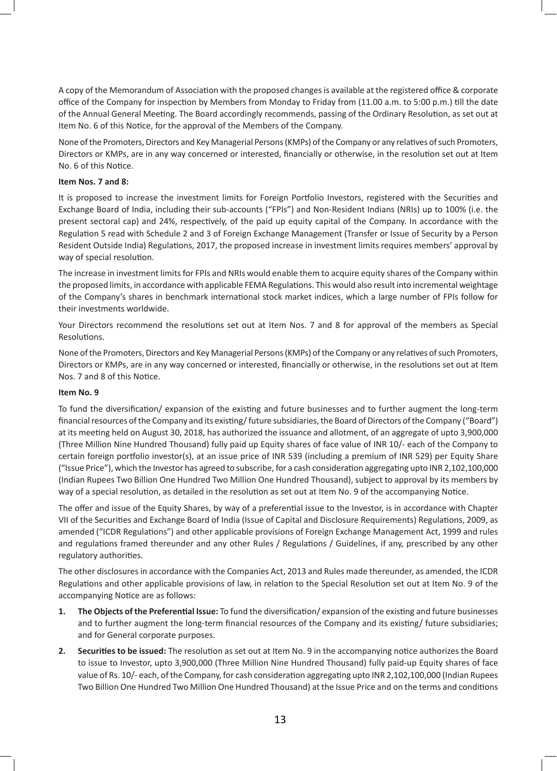A copy of the Memorandum of Association with the proposed changes is available at the registered office & corporate office of the Company for inspection by Members from Monday to Friday from (11.00 a.m. to 5:00 p.m.) till the date of the Annual General Meeting. The Board accordingly recommends, passing of the Ordinary Resolution, as set out at Item No. 6 of this Notice, for the approval of the Members of the Company.

None of the Promoters, Directors and Key Managerial Persons (KMPs) of the Company or any relatives of such Promoters, Directors or KMPs, are in any way concerned or interested, financially or otherwise, in the resolution set out at Item No. 6 of this Notice.

## **Item Nos. 7 and 8:**

It is proposed to increase the investment limits for Foreign Portfolio Investors, registered with the Securities and Exchange Board of India, including their sub-accounts ("FPIs") and Non-Resident Indians (NRIs) up to 100% (i.e. the present sectoral cap) and 24%, respectively, of the paid up equity capital of the Company. In accordance with the Regulation 5 read with Schedule 2 and 3 of Foreign Exchange Management (Transfer or Issue of Security by a Person Resident Outside India) Regulations, 2017, the proposed increase in investment limits requires members' approval by way of special resolution.

The increase in investment limits for FPIs and NRIs would enable them to acquire equity shares of the Company within the proposed limits, in accordance with applicable FEMA Regulations. This would also result into incremental weightage of the Company's shares in benchmark international stock market indices, which a large number of FPIs follow for their investments worldwide.

Your Directors recommend the resolutions set out at Item Nos. 7 and 8 for approval of the members as Special Resolutions.

None of the Promoters, Directors and Key Managerial Persons (KMPs) of the Company or any relatives of such Promoters, Directors or KMPs, are in any way concerned or interested, financially or otherwise, in the resolutions set out at Item Nos. 7 and 8 of this Notice.

## **Item No. 9**

To fund the diversification/ expansion of the existing and future businesses and to further augment the long-term financial resources of the Company and its existing/ future subsidiaries, the Board of Directors of the Company ("Board") at its meeting held on August 30, 2018, has authorized the issuance and allotment, of an aggregate of upto 3,900,000 (Three Million Nine Hundred Thousand) fully paid up Equity shares of face value of INR 10/- each of the Company to certain foreign portfolio investor(s), at an issue price of INR 539 (including a premium of INR 529) per Equity Share ("Issue Price"), which the Investor has agreed to subscribe, for a cash consideration aggregating upto INR 2,102,100,000 (Indian Rupees Two Billion One Hundred Two Million One Hundred Thousand), subject to approval by its members by way of a special resolution, as detailed in the resolution as set out at Item No. 9 of the accompanying Notice.

The offer and issue of the Equity Shares, by way of a preferential issue to the Investor, is in accordance with Chapter VII of the Securities and Exchange Board of India (Issue of Capital and Disclosure Requirements) Regulations, 2009, as amended ("ICDR Regulations") and other applicable provisions of Foreign Exchange Management Act, 1999 and rules and regulations framed thereunder and any other Rules / Regulations / Guidelines, if any, prescribed by any other regulatory authorities.

The other disclosures in accordance with the Companies Act, 2013 and Rules made thereunder, as amended, the ICDR Regulations and other applicable provisions of law, in relation to the Special Resolution set out at Item No. 9 of the accompanying Notice are as follows:

- **1. The Objects of the Preferential Issue:** To fund the diversification/ expansion of the existing and future businesses and to further augment the long-term financial resources of the Company and its existing/ future subsidiaries; and for General corporate purposes.
- **2. Securities to be issued:** The resolution as set out at Item No. 9 in the accompanying notice authorizes the Board to issue to Investor, upto 3,900,000 (Three Million Nine Hundred Thousand) fully paid-up Equity shares of face value of Rs. 10/- each, of the Company, for cash consideration aggregating upto INR 2,102,100,000 (Indian Rupees Two Billion One Hundred Two Million One Hundred Thousand) at the Issue Price and on the terms and conditions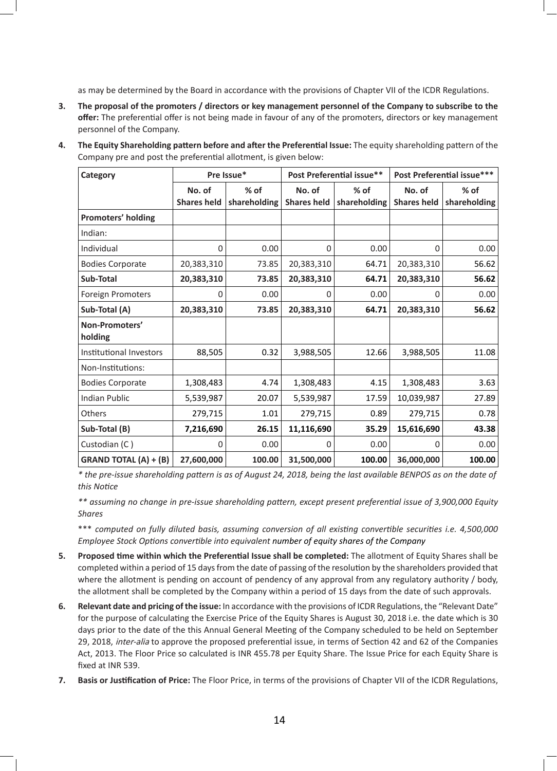as may be determined by the Board in accordance with the provisions of Chapter VII of the ICDR Regulations.

- 3. The proposal of the promoters / directors or key management personnel of the Company to subscribe to the **offer:** The preferential offer is not being made in favour of any of the promoters, directors or key management personnel of the Company.
- **4. The Equity Shareholding pattern before and after the Preferential Issue:** The equity shareholding pattern of the Company pre and post the preferential allotment, is given below:

| Category                     |                    | Post Preferential issue**<br>Pre Issue* |                    |              |                    | Post Preferential issue*** |  |
|------------------------------|--------------------|-----------------------------------------|--------------------|--------------|--------------------|----------------------------|--|
|                              | No. of             | $%$ of                                  | No. of             | $%$ of       | No. of             | $%$ of                     |  |
|                              | <b>Shares held</b> | shareholding                            | <b>Shares held</b> | shareholding | <b>Shares held</b> | shareholding               |  |
| <b>Promoters' holding</b>    |                    |                                         |                    |              |                    |                            |  |
| Indian:                      |                    |                                         |                    |              |                    |                            |  |
| Individual                   | 0                  | 0.00                                    | $\Omega$           | 0.00         | $\Omega$           | 0.00                       |  |
| <b>Bodies Corporate</b>      | 20,383,310         | 73.85                                   | 20,383,310         | 64.71        | 20,383,310         | 56.62                      |  |
| Sub-Total                    | 20,383,310         | 73.85                                   | 20,383,310         | 64.71        | 20,383,310         | 56.62                      |  |
| <b>Foreign Promoters</b>     | 0                  | 0.00                                    | 0                  | 0.00         | $\Omega$           | 0.00                       |  |
| Sub-Total (A)                | 20,383,310         | 73.85                                   | 20,383,310         | 64.71        | 20,383,310         | 56.62                      |  |
| Non-Promoters'               |                    |                                         |                    |              |                    |                            |  |
| holding                      |                    |                                         |                    |              |                    |                            |  |
| Institutional Investors      | 88,505             | 0.32                                    | 3,988,505          | 12.66        | 3,988,505          | 11.08                      |  |
| Non-Institutions:            |                    |                                         |                    |              |                    |                            |  |
| <b>Bodies Corporate</b>      | 1,308,483          | 4.74                                    | 1,308,483          | 4.15         | 1,308,483          | 3.63                       |  |
| <b>Indian Public</b>         | 5,539,987          | 20.07                                   | 5,539,987          | 17.59        | 10,039,987         | 27.89                      |  |
| Others                       | 279,715            | 1.01                                    | 279,715            | 0.89         | 279,715            | 0.78                       |  |
| Sub-Total (B)                | 7,216,690          | 26.15                                   | 11,116,690         | 35.29        | 15,616,690         | 43.38                      |  |
| Custodian (C)                | 0                  | 0.00                                    | 0                  | 0.00         | $\Omega$           | 0.00                       |  |
| <b>GRAND TOTAL (A) + (B)</b> | 27,600,000         | 100.00                                  | 31,500,000         | 100.00       | 36,000,000         | 100.00                     |  |

*\* the pre-issue shareholding pattern is as of August 24, 2018, being the last available BENPOS as on the date of this Notice*

*\*\* assuming no change in pre-issue shareholding pattern, except present preferential issue of 3,900,000 Equity Shares*

\*\*\* *computed on fully diluted basis, assuming conversion of all existing convertible securities i.e. 4,500,000 Employee Stock Options convertible into equivalent number of equity shares of the Company*

- **5. Proposed time within which the Preferential Issue shall be completed:** The allotment of Equity Shares shall be completed within a period of 15 days from the date of passing of the resolution by the shareholders provided that where the allotment is pending on account of pendency of any approval from any regulatory authority / body, the allotment shall be completed by the Company within a period of 15 days from the date of such approvals.
- **6. Relevant date and pricing ofthe issue:** In accordance with the provisions of ICDR Regulations, the "Relevant Date" for the purpose of calculating the Exercise Price of the Equity Shares is August 30, 2018 i.e. the date which is 30 days prior to the date of the this Annual General Meeting of the Company scheduled to be held on September 29, 2018, inter-alia to approve the proposed preferential issue, in terms of Section 42 and 62 of the Companies Act, 2013. The Floor Price so calculated is INR 455.78 per Equity Share. The Issue Price for each Equity Share is fixed at INR 539.
- **7. Basis or Justification of Price:** The Floor Price, in terms of the provisions of Chapter VII of the ICDR Regulations,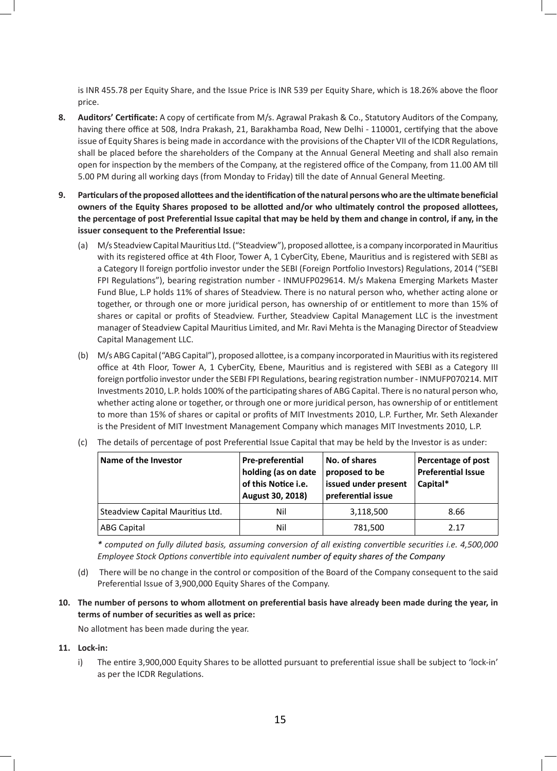is INR 455.78 per Equity Share, and the Issue Price is INR 539 per Equity Share, which is 18.26% above the floor price.

- **8. Auditors' Certificate:** A copy of certificate from M/s. Agrawal Prakash & Co., Statutory Auditors of the Company, having there office at 508, Indra Prakash, 21, Barakhamba Road, New Delhi - 110001, certifying that the above issue of Equity Shares is being made in accordance with the provisions of the Chapter VII of the ICDR Regulations, shall be placed before the shareholders of the Company at the Annual General Meeting and shall also remain open for inspection by the members of the Company, at the registered office of the Company, from 11.00 AM till 5.00 PM during all working days (from Monday to Friday) till the date of Annual General Meeting.
- **9. Particulars ofthe proposed allottees and the identification ofthe natural persons who are the ultimate beneficial owners of the Equity Shares proposed to be allotted and/or who ultimately control the proposed allottees,** the percentage of post Preferential Issue capital that may be held by them and change in control, if any, in the **issuer consequent to the Preferential Issue:**
	- (a) M/s Steadview Capital Mauritius Ltd. ("Steadview"), proposed allottee, is a company incorporated in Mauritius with its registered office at 4th Floor, Tower A, 1 CyberCity, Ebene, Mauritius and is registered with SEBI as a Category II foreign portfolio investor under the SEBI (Foreign Portfolio Investors) Regulations, 2014 ("SEBI FPI Regulations"), bearing registration number - INMUFP029614. M/s Makena Emerging Markets Master Fund Blue, L.P holds 11% of shares of Steadview. There is no natural person who, whether acting alone or together, or through one or more juridical person, has ownership of or entitlement to more than 15% of shares or capital or profits of Steadview. Further, Steadview Capital Management LLC is the investment manager of Steadview Capital Mauritius Limited, and Mr. Ravi Mehta is the Managing Director of Steadview Capital Management LLC.
	- (b) M/s ABG Capital ("ABG Capital"), proposed allottee, is a company incorporated in Mauritius with its registered office at 4th Floor, Tower A, 1 CyberCity, Ebene, Mauritius and is registered with SEBI as a Category III foreign portfolio investor under the SEBI FPI Regulations, bearing registration number - INMUFP070214. MIT Investments 2010, L.P. holds 100% of the participating shares of ABG Capital. There is no natural person who, whether acting alone or together, or through one or more juridical person, has ownership of or entitlement to more than 15% of shares or capital or profits of MIT Investments 2010, L.P. Further, Mr. Seth Alexander is the President of MIT Investment Management Company which manages MIT Investments 2010, L.P.
	- (c) The details of percentage of post Preferential Issue Capital that may be held by the Investor is as under:

| Name of the Investor             | Pre-preferential<br>holding (as on date<br>of this Notice i.e.<br><b>August 30, 2018)</b> | No. of shares<br>proposed to be<br>issued under present<br>preferential issue | Percentage of post<br><b>Preferential Issue</b><br>Capital* |
|----------------------------------|-------------------------------------------------------------------------------------------|-------------------------------------------------------------------------------|-------------------------------------------------------------|
| Steadview Capital Mauritius Ltd. | Nil                                                                                       | 3,118,500                                                                     | 8.66                                                        |
| <b>ABG Capital</b>               | Nil                                                                                       | 781,500                                                                       | 2 1 7                                                       |

*\* computed on fully diluted basis, assuming conversion of all existing convertible securities i.e. 4,500,000 Employee Stock Options convertible into equivalent number of equity shares of the Company*

(d) There will be no change in the control or composition of the Board of the Company consequent to the said Preferential Issue of 3,900,000 Equity Shares of the Company.

# 10. The number of persons to whom allotment on preferential basis have already been made during the year, in **terms of number of securities as well as price:**

No allotment has been made during the year.

- **11. Lock-in:**
	- i) The entire 3,900,000 Equity Shares to be allotted pursuant to preferential issue shall be subject to 'lock-in' as per the ICDR Regulations.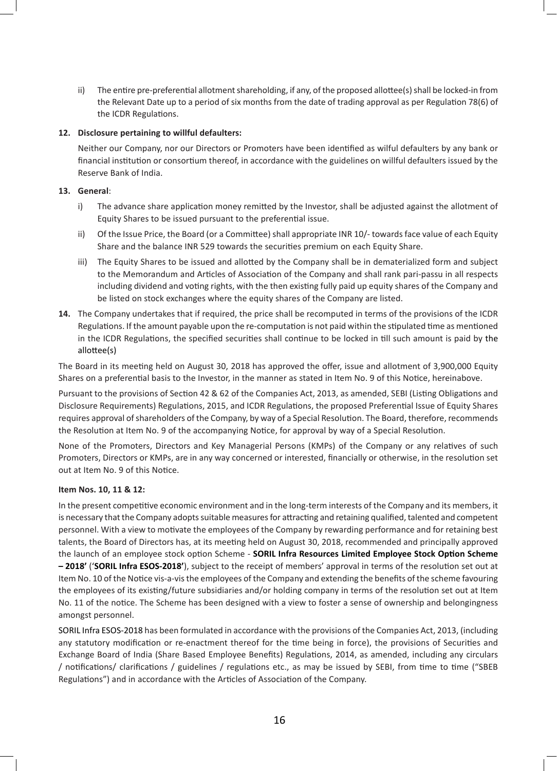ii) The entire pre-preferential allotment shareholding, if any, of the proposed allottee(s) shall be locked-in from the Relevant Date up to a period of six months from the date of trading approval as per Regulation 78(6) of the ICDR Regulations.

## **12. Disclosure pertaining to willful defaulters:**

Neither our Company, nor our Directors or Promoters have been identified as wilful defaulters by any bank or financial institution or consortium thereof, in accordance with the guidelines on willful defaulters issued by the Reserve Bank of India.

# **13. General**:

- i) The advance share application money remitted by the Investor, shall be adjusted against the allotment of Equity Shares to be issued pursuant to the preferential issue.
- ii) Of the Issue Price, the Board (or a Committee) shall appropriate INR 10/- towards face value of each Equity Share and the balance INR 529 towards the securities premium on each Equity Share.
- iii) The Equity Shares to be issued and allotted by the Company shall be in dematerialized form and subject to the Memorandum and Articles of Association of the Company and shall rank pari-passu in all respects including dividend and voting rights, with the then existing fully paid up equity shares of the Company and be listed on stock exchanges where the equity shares of the Company are listed.
- **14.** The Company undertakes that if required, the price shall be recomputed in terms of the provisions of the ICDR Regulations. If the amount payable upon the re-computation is not paid within the stipulated time as mentioned in the ICDR Regulations, the specified securities shall continue to be locked in till such amount is paid by the allottee(s)

The Board in its meeting held on August 30, 2018 has approved the offer, issue and allotment of 3,900,000 Equity Shares on a preferential basis to the Investor, in the manner as stated in Item No. 9 of this Notice, hereinabove.

Pursuant to the provisions of Section 42 & 62 of the Companies Act, 2013, as amended, SEBI (Listing Obligations and Disclosure Requirements) Regulations, 2015, and ICDR Regulations, the proposed Preferential Issue of Equity Shares requires approval of shareholders of the Company, by way of a Special Resolution. The Board, therefore, recommends the Resolution at Item No. 9 of the accompanying Notice, for approval by way of a Special Resolution.

None of the Promoters, Directors and Key Managerial Persons (KMPs) of the Company or any relatives of such Promoters, Directors or KMPs, are in any way concerned or interested, financially or otherwise, in the resolution set out at Item No. 9 of this Notice.

## **Item Nos. 10, 11 & 12:**

In the present competitive economic environment and in the long-term interests of the Company and its members, it is necessary that the Company adopts suitable measures for attracting and retaining qualified, talented and competent personnel. With a view to motivate the employees of the Company by rewarding performance and for retaining best talents, the Board of Directors has, at its meeting held on August 30, 2018, recommended and principally approved the launch of an employee stock option Scheme - **SORIL Infra Resources Limited Employee Stock Option Scheme – 2018'** ('**SORIL Infra ESOS-2018'**), subject to the receipt of members' approval in terms of the resolution set out at Item No. 10 of the Notice vis-a-vis the employees of the Company and extending the benefits of the scheme favouring the employees of its existing/future subsidiaries and/or holding company in terms of the resolution set out at Item No. 11 of the notice. The Scheme has been designed with a view to foster a sense of ownership and belongingness amongst personnel.

SORIL Infra ESOS-2018 has been formulated in accordance with the provisions of the Companies Act, 2013, (including any statutory modification or re-enactment thereof for the time being in force), the provisions of Securities and Exchange Board of India (Share Based Employee Benefits) Regulations, 2014, as amended, including any circulars / notifications/ clarifications / guidelines / regulations etc., as may be issued by SEBI, from time to time ("SBEB Regulations") and in accordance with the Articles of Association of the Company.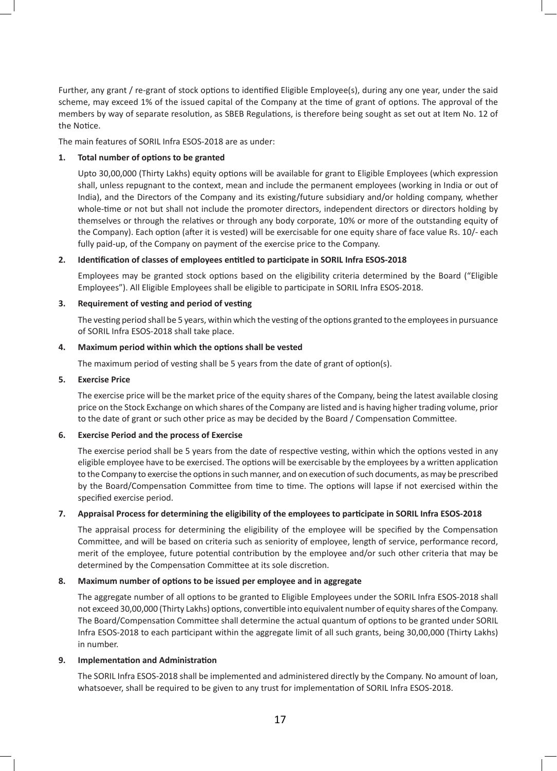Further, any grant / re-grant of stock options to identified Eligible Employee(s), during any one year, under the said scheme, may exceed 1% of the issued capital of the Company at the time of grant of options. The approval of the members by way of separate resolution, as SBEB Regulations, is therefore being sought as set out at Item No. 12 of the Notice.

The main features of SORIL Infra ESOS-2018 are as under:

## **1. Total number of options to be granted**

Upto 30,00,000 (Thirty Lakhs) equity options will be available for grant to Eligible Employees (which expression shall, unless repugnant to the context, mean and include the permanent employees (working in India or out of India), and the Directors of the Company and its existing/future subsidiary and/or holding company, whether whole-time or not but shall not include the promoter directors, independent directors or directors holding by themselves or through the relatives or through any body corporate, 10% or more of the outstanding equity of the Company). Each option (after it is vested) will be exercisable for one equity share of face value Rs. 10/- each fully paid-up, of the Company on payment of the exercise price to the Company.

## **2. Identification of classes of employees entitled to participate in SORIL Infra ESOS-2018**

Employees may be granted stock options based on the eligibility criteria determined by the Board ("Eligible Employees"). All Eligible Employees shall be eligible to participate in SORIL Infra ESOS-2018.

## **3. Requirement of vesting and period of vesting**

The vesting period shall be 5 years, within which the vesting of the options granted to the employees in pursuance of SORIL Infra ESOS-2018 shall take place.

## **4. Maximum period within which the options shall be vested**

The maximum period of vesting shall be 5 years from the date of grant of option(s).

#### **5. Exercise Price**

The exercise price will be the market price of the equity shares of the Company, being the latest available closing price on the Stock Exchange on which shares of the Company are listed and is having higher trading volume, prior to the date of grant or such other price as may be decided by the Board / Compensation Committee.

## **6. Exercise Period and the process of Exercise**

The exercise period shall be 5 years from the date of respective vesting, within which the options vested in any eligible employee have to be exercised. The options will be exercisable by the employees by a written application to the Company to exercise the options in such manner, and on execution of such documents, as may be prescribed by the Board/Compensation Committee from time to time. The options will lapse if not exercised within the specified exercise period.

## **7. Appraisal Process for determining the eligibility of the employees to participate in SORIL Infra ESOS-2018**

The appraisal process for determining the eligibility of the employee will be specified by the Compensation Committee, and will be based on criteria such as seniority of employee, length of service, performance record, merit of the employee, future potential contribution by the employee and/or such other criteria that may be determined by the Compensation Committee at its sole discretion.

## **8. Maximum number of options to be issued per employee and in aggregate**

The aggregate number of all options to be granted to Eligible Employees under the SORIL Infra ESOS-2018 shall not exceed 30,00,000 (Thirty Lakhs) options, convertible into equivalent number of equity shares of the Company. The Board/Compensation Committee shall determine the actual quantum of options to be granted under SORIL Infra ESOS-2018 to each participant within the aggregate limit of all such grants, being 30,00,000 (Thirty Lakhs) in number.

## **9. Implementation and Administration**

The SORIL Infra ESOS-2018 shall be implemented and administered directly by the Company. No amount of loan, whatsoever, shall be required to be given to any trust for implementation of SORIL Infra ESOS-2018.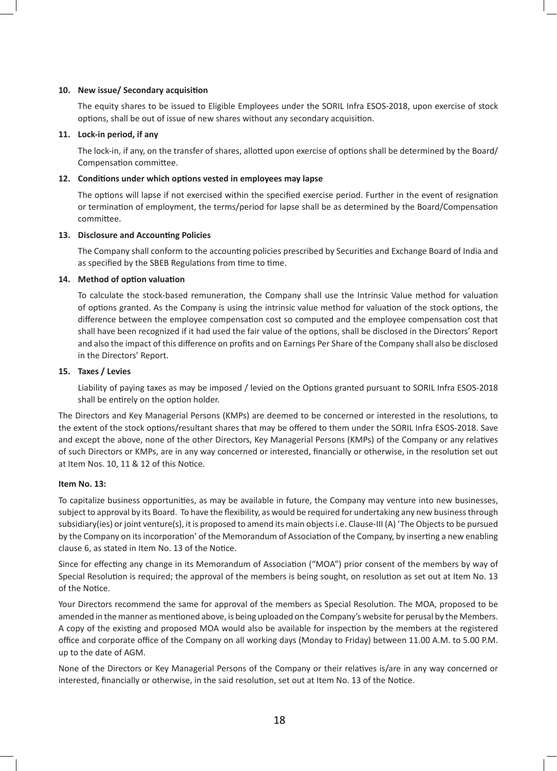#### **10. New issue/ Secondary acquisition**

The equity shares to be issued to Eligible Employees under the SORIL Infra ESOS-2018, upon exercise of stock options, shall be out of issue of new shares without any secondary acquisition.

#### **11. Lock-in period, if any**

The lock-in, if any, on the transfer of shares, allotted upon exercise of options shall be determined by the Board/ Compensation committee.

#### **12. Conditions under which options vested in employees may lapse**

The options will lapse if not exercised within the specified exercise period. Further in the event of resignation or termination of employment, the terms/period for lapse shall be as determined by the Board/Compensation committee.

#### **13. Disclosure and Accounting Policies**

The Company shall conform to the accounting policies prescribed by Securities and Exchange Board of India and as specified by the SBEB Regulations from time to time.

#### **14. Method of option valuation**

To calculate the stock-based remuneration, the Company shall use the Intrinsic Value method for valuation of options granted. As the Company is using the intrinsic value method for valuation of the stock options, the difference between the employee compensation cost so computed and the employee compensation cost that shall have been recognized if it had used the fair value of the options, shall be disclosed in the Directors' Report and also the impact of this difference on profits and on Earnings Per Share of the Company shall also be disclosed in the Directors' Report.

#### **15. Taxes / Levies**

Liability of paying taxes as may be imposed / levied on the Options granted pursuant to SORIL Infra ESOS-2018 shall be entirely on the option holder.

The Directors and Key Managerial Persons (KMPs) are deemed to be concerned or interested in the resolutions, to the extent of the stock options/resultant shares that may be offered to them under the SORIL Infra ESOS-2018. Save and except the above, none of the other Directors, Key Managerial Persons (KMPs) of the Company or any relatives of such Directors or KMPs, are in any way concerned or interested, financially or otherwise, in the resolution set out at Item Nos. 10, 11 & 12 of this Notice.

#### **Item No. 13:**

To capitalize business opportunities, as may be available in future, the Company may venture into new businesses, subject to approval by its Board. To have the flexibility, as would be required for undertaking any new business through subsidiary(ies) or joint venture(s), it is proposed to amend its main objects i.e. Clause-III (A) 'The Objects to be pursued by the Company on its incorporation' of the Memorandum of Association of the Company, by inserting a new enabling clause 6, as stated in Item No. 13 of the Notice.

Since for effecting any change in its Memorandum of Association ("MOA") prior consent of the members by way of Special Resolution is required; the approval of the members is being sought, on resolution as set out at Item No. 13 of the Notice.

Your Directors recommend the same for approval of the members as Special Resolution. The MOA, proposed to be amended in the manner as mentioned above, is being uploaded on the Company's website for perusal by the Members. A copy of the existing and proposed MOA would also be available for inspection by the members at the registered office and corporate office of the Company on all working days (Monday to Friday) between 11.00 A.M. to 5.00 P.M. up to the date of AGM.

None of the Directors or Key Managerial Persons of the Company or their relatives is/are in any way concerned or interested, financially or otherwise, in the said resolution, set out at Item No. 13 of the Notice.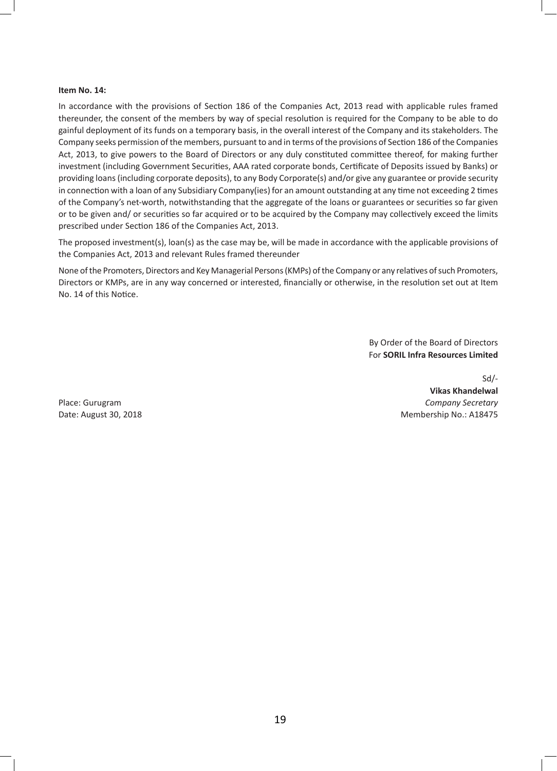#### **Item No. 14:**

In accordance with the provisions of Section 186 of the Companies Act, 2013 read with applicable rules framed thereunder, the consent of the members by way of special resolution is required for the Company to be able to do gainful deployment of its funds on a temporary basis, in the overall interest of the Company and its stakeholders. The Company seeks permission of the members, pursuant to and in terms of the provisions of Section 186 of the Companies Act, 2013, to give powers to the Board of Directors or any duly constituted committee thereof, for making further investment (including Government Securities, AAA rated corporate bonds, Certificate of Deposits issued by Banks) or providing loans (including corporate deposits), to any Body Corporate(s) and/or give any guarantee or provide security in connection with a loan of any Subsidiary Company(ies) for an amount outstanding at any time not exceeding 2 times of the Company's net-worth, notwithstanding that the aggregate of the loans or guarantees or securities so far given or to be given and/ or securities so far acquired or to be acquired by the Company may collectively exceed the limits prescribed under Section 186 of the Companies Act, 2013.

The proposed investment(s), loan(s) as the case may be, will be made in accordance with the applicable provisions of the Companies Act, 2013 and relevant Rules framed thereunder

None of the Promoters, Directors and Key Managerial Persons (KMPs) of the Company or any relatives of such Promoters, Directors or KMPs, are in any way concerned or interested, financially or otherwise, in the resolution set out at Item No. 14 of this Notice.

> By Order of the Board of Directors For **SORIL Infra Resources Limited**

Sd/- **Vikas Khandelwal** Place: Gurugram *Company Secretary* Date: August 30, 2018 Membership No.: A18475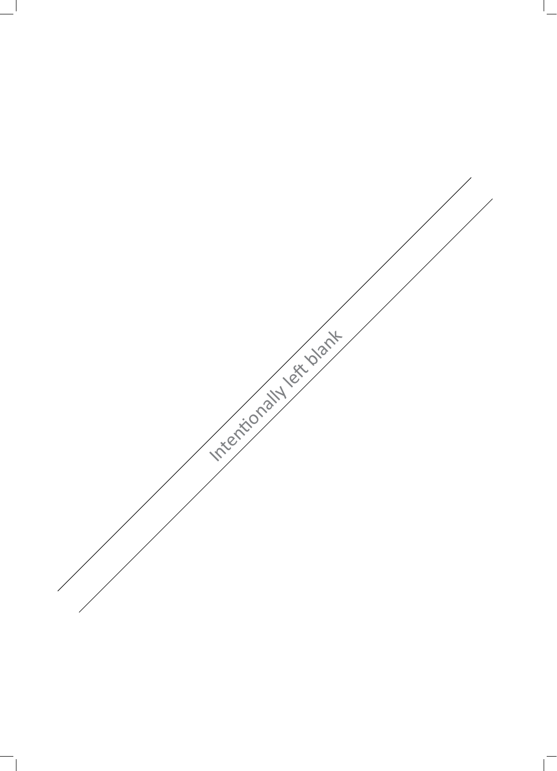Intentionally left blank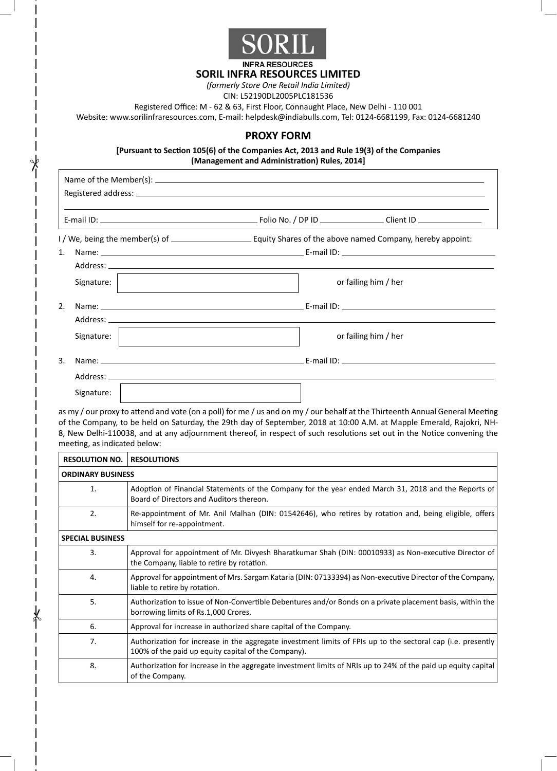

**INFRA RESOURCES** 

**SORIL INFRA RESOURCES LIMITED**

*(formerly Store One Retail India Limited)* CIN: L52190DL2005PLC181536

Registered Office: M - 62 & 63, First Floor, Connaught Place, New Delhi - 110 001

Website: www.sorilinfraresources.com, E-mail: helpdesk@indiabulls.com, Tel: 0124-6681199, Fax: 0124-6681240

# **PROXY FORM**

**[Pursuant to Section 105(6) of the Companies Act, 2013 and Rule 19(3) of the Companies (Management and Administration) Rules, 2014]**

 $\chi$ 

∦

| $1_{-}$    |                      |
|------------|----------------------|
| Signature: | or failing him / her |
| 2.         |                      |
| Signature: | or failing him / her |
| 3.         |                      |
| Signature: |                      |

as my / our proxy to attend and vote (on a poll) for me / us and on my / our behalf at the Thirteenth Annual General Meeting of the Company, to be held on Saturday, the 29th day of September, 2018 at 10:00 A.M. at Mapple Emerald, Rajokri, NH-8, New Delhi-110038, and at any adjournment thereof, in respect of such resolutions set out in the Notice convening the meeting, as indicated below:

| <b>RESOLUTION NO.</b>    | <b>RESOLUTIONS</b>                                                                                                                                                  |
|--------------------------|---------------------------------------------------------------------------------------------------------------------------------------------------------------------|
| <b>ORDINARY BUSINESS</b> |                                                                                                                                                                     |
| 1.                       | Adoption of Financial Statements of the Company for the year ended March 31, 2018 and the Reports of<br>Board of Directors and Auditors thereon.                    |
| 2.                       | Re-appointment of Mr. Anil Malhan (DIN: 01542646), who retires by rotation and, being eligible, offers<br>himself for re-appointment.                               |
| <b>SPECIAL BUSINESS</b>  |                                                                                                                                                                     |
| 3.                       | Approval for appointment of Mr. Divyesh Bharatkumar Shah (DIN: 00010933) as Non-executive Director of<br>the Company, liable to retire by rotation.                 |
| 4.                       | Approval for appointment of Mrs. Sargam Kataria (DIN: 07133394) as Non-executive Director of the Company,<br>liable to retire by rotation.                          |
| 5.                       | Authorization to issue of Non-Convertible Debentures and/or Bonds on a private placement basis, within the<br>borrowing limits of Rs.1,000 Crores.                  |
| 6.                       | Approval for increase in authorized share capital of the Company.                                                                                                   |
| 7.                       | Authorization for increase in the aggregate investment limits of FPIs up to the sectoral cap (i.e. presently<br>100% of the paid up equity capital of the Company). |
| 8.                       | Authorization for increase in the aggregate investment limits of NRIs up to 24% of the paid up equity capital<br>of the Company.                                    |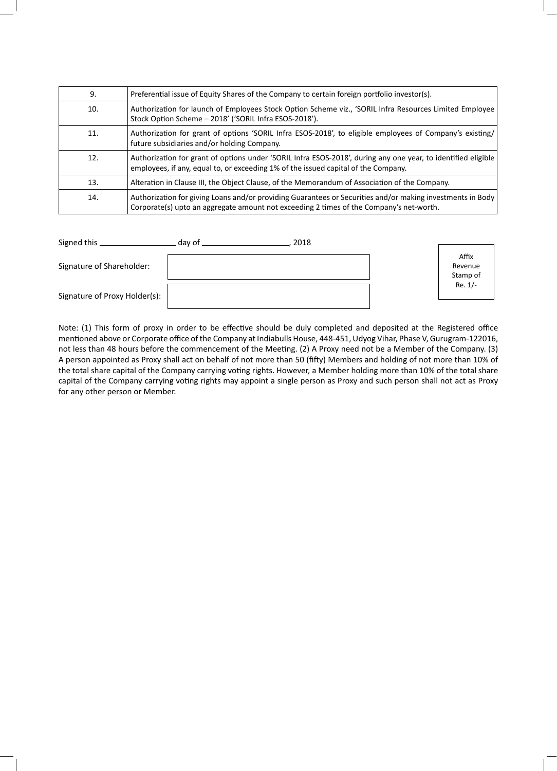| 9.  | Preferential issue of Equity Shares of the Company to certain foreign portfolio investor(s).                                                                                                          |
|-----|-------------------------------------------------------------------------------------------------------------------------------------------------------------------------------------------------------|
| 10. | Authorization for launch of Employees Stock Option Scheme viz., 'SORIL Infra Resources Limited Employee<br>Stock Option Scheme - 2018' ('SORIL Infra ESOS-2018').                                     |
| 11. | Authorization for grant of options 'SORIL Infra ESOS-2018', to eligible employees of Company's existing/<br>future subsidiaries and/or holding Company.                                               |
| 12. | Authorization for grant of options under 'SORIL Infra ESOS-2018', during any one year, to identified eligible<br>employees, if any, equal to, or exceeding 1% of the issued capital of the Company.   |
| 13. | Alteration in Clause III, the Object Clause, of the Memorandum of Association of the Company.                                                                                                         |
| 14. | Authorization for giving Loans and/or providing Guarantees or Securities and/or making investments in Body<br>Corporate(s) upto an aggregate amount not exceeding 2 times of the Company's net-worth. |

| Signed this _                 | . day of . | 2018 |                              |
|-------------------------------|------------|------|------------------------------|
| Signature of Shareholder:     |            |      | Affix<br>Revenue<br>Stamp of |
| Signature of Proxy Holder(s): |            |      | $Re. 1/-$                    |

Note: (1) This form of proxy in order to be effective should be duly completed and deposited at the Registered office mentioned above or Corporate office of the Company at Indiabulls House, 448-451, Udyog Vihar, Phase V, Gurugram-122016, not less than 48 hours before the commencement of the Meeting. (2) A Proxy need not be a Member of the Company. (3) A person appointed as Proxy shall act on behalf of not more than 50 (fifty) Members and holding of not more than 10% of the total share capital of the Company carrying voting rights. However, a Member holding more than 10% of the total share capital of the Company carrying voting rights may appoint a single person as Proxy and such person shall not act as Proxy for any other person or Member.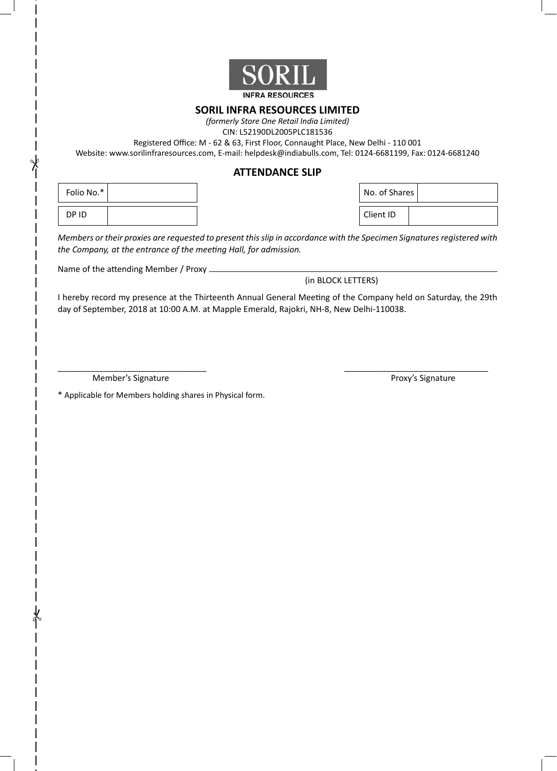

# **SORIL INFRA RESOURCES LIMITED**

*(formerly Store One Retail India Limited)*

CIN: L52190DL2005PLC181536

Registered Office: M - 62 & 63, First Floor, Connaught Place, New Delhi - 110 001

Website: www.sorilinfraresources.com, E-mail: helpdesk@indiabulls.com, Tel: 0124-6681199, Fax: 0124-6681240

# **ATTENDANCE SLIP**

| Folio No.* |  | No. of Shares |  |
|------------|--|---------------|--|
| DP ID      |  | Client ID     |  |

 $\chi$ 

∦

| No. of Shares |  |
|---------------|--|
| Client ID     |  |

*Members or their proxies are requested to present this slip in accordance with the Specimen Signatures registered with the Company, at the entrance of the meeting Hall, for admission.*

Name of the attending Member / Proxy

(in BLOCK LETTERS)

I hereby record my presence at the Thirteenth Annual General Meeting of the Company held on Saturday, the 29th day of September, 2018 at 10:00 A.M. at Mapple Emerald, Rajokri, NH-8, New Delhi-110038.

\_\_\_\_\_\_\_\_\_\_\_\_\_\_\_\_\_\_\_\_\_\_\_\_\_\_\_\_\_\_\_\_ \_\_\_\_\_\_\_\_\_\_\_\_\_\_\_\_\_\_\_\_\_\_\_\_\_\_\_\_\_\_\_

Member's Signature **Member's Signature Proxy's Signature Proxy's Signature** 

\* Applicable for Members holding shares in Physical form.